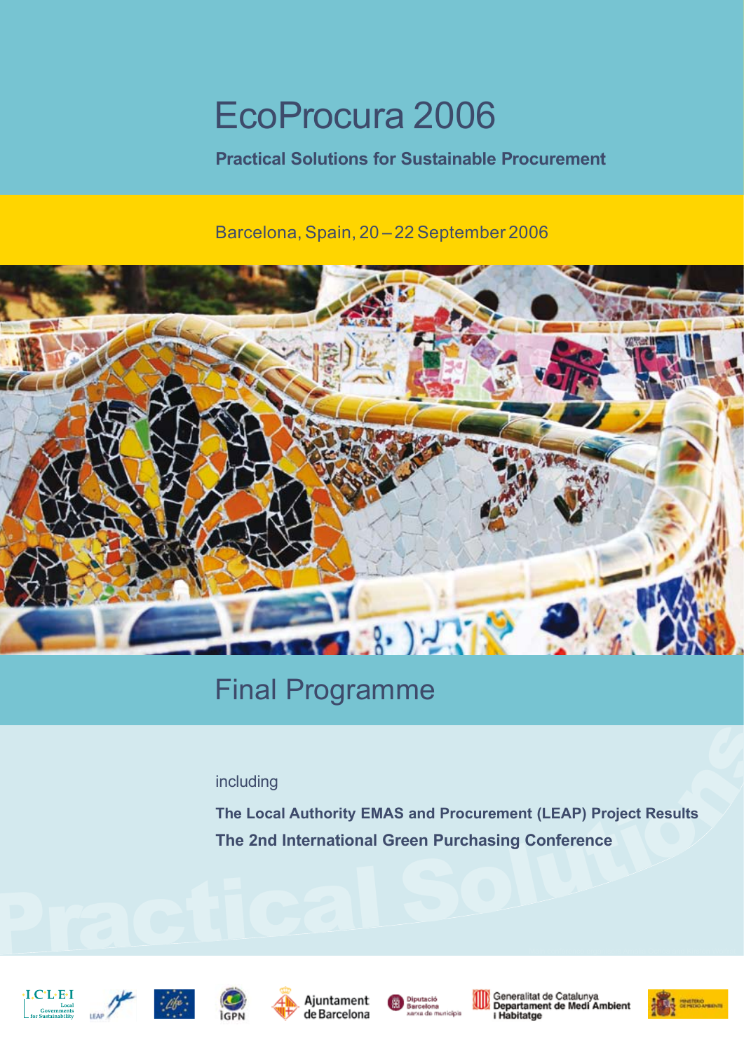# EcoProcura 2006

**Practical Solutions for Sustainable Procurement**

Barcelona, Spain, 20 – 22 September 2006



## Final Programme

# including s

including<br>
The Local Authority EMAS and Procurement (LEAP) Project Results<br>
The 2nd International Green Purchasing Conference **The Local Authority EMAS and Procurement (LEAP) Project Results The 2nd International Green Purchasing Conference**













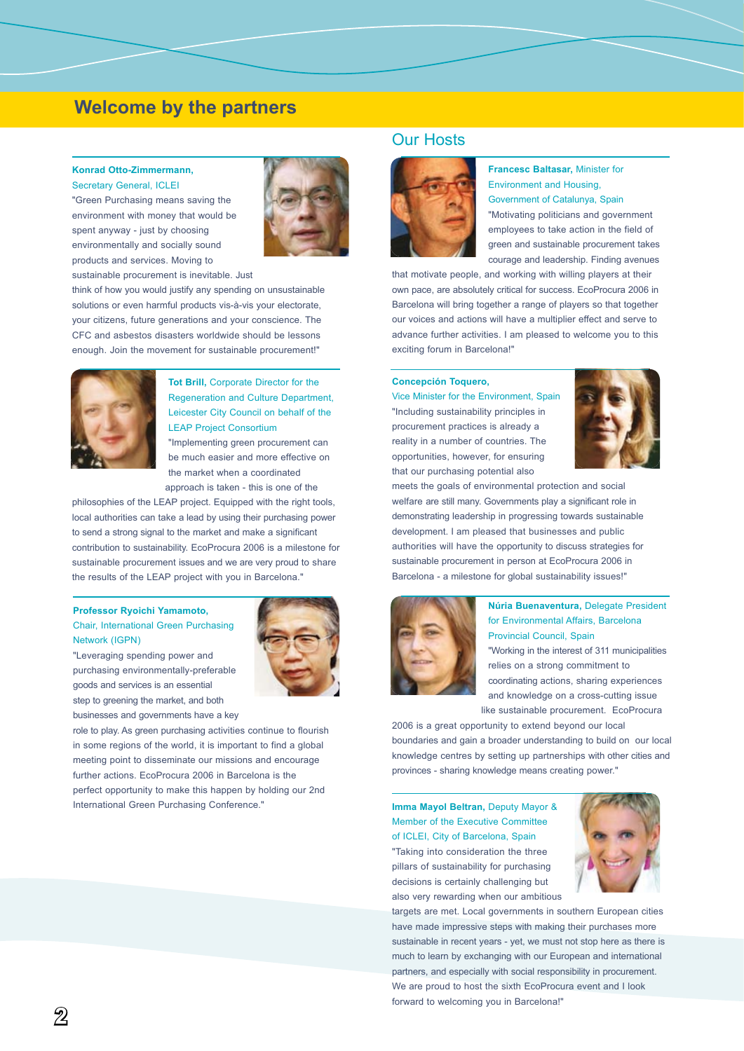## **Welcome by the partners**

## **Konrad Otto-Zimmermann,**

Secretary General, ICLEI "Green Purchasing means saving the environment with money that would be spent anyway - just by choosing environmentally and socially sound products and services. Moving to



sustainable procurement is inevitable. Just

think of how you would justify any spending on unsustainable solutions or even harmful products vis-à-vis your electorate, your citizens, future generations and your conscience. The CFC and asbestos disasters worldwide should be lessons enough. Join the movement for sustainable procurement!"



**Tot Brill,** Corporate Director for the Regeneration and Culture Department, Leicester City Council on behalf of the LEAP Project Consortium

"Implementing green procurement can be much easier and more effective on the market when a coordinated approach is taken - this is one of the

philosophies of the LEAP project. Equipped with the right tools, local authorities can take a lead by using their purchasing power to send a strong signal to the market and make a significant contribution to sustainability. EcoProcura 2006 is a milestone for sustainable procurement issues and we are very proud to share the results of the LEAP project with you in Barcelona."

#### **Professor Ryoichi Yamamoto,**  Chair, International Green Purchasing Network (IGPN)

"Leveraging spending power and purchasing environmentally-preferable goods and services is an essential step to greening the market, and both businesses and governments have a key



role to play. As green purchasing activities continue to flourish in some regions of the world, it is important to find a global meeting point to disseminate our missions and encourage further actions. EcoProcura 2006 in Barcelona is the perfect opportunity to make this happen by holding our 2nd International Green Purchasing Conference."

## Our Hosts



**Francesc Baltasar,** Minister for Environment and Housing, Government of Catalunya, Spain "Motivating politicians and government employees to take action in the field of green and sustainable procurement takes courage and leadership. Finding avenues

that motivate people, and working with willing players at their own pace, are absolutely critical for success. EcoProcura 2006 in Barcelona will bring together a range of players so that together our voices and actions will have a multiplier effect and serve to advance further activities. I am pleased to welcome you to this exciting forum in Barcelona!"

#### **Concepción Toquero,**

Vice Minister for the Environment, Spain "Including sustainability principles in procurement practices is already a reality in a number of countries. The opportunities, however, for ensuring that our purchasing potential also



meets the goals of environmental protection and social welfare are still many. Governments play a significant role in demonstrating leadership in progressing towards sustainable development. I am pleased that businesses and public authorities will have the opportunity to discuss strategies for sustainable procurement in person at EcoProcura 2006 in Barcelona - a milestone for global sustainability issues!"



#### **Núria Buenaventura,** Delegate President for Environmental Affairs, Barcelona Provincial Council, Spain

"Working in the interest of 311 municipalities relies on a strong commitment to coordinating actions, sharing experiences and knowledge on a cross-cutting issue like sustainable procurement. EcoProcura

2006 is a great opportunity to extend beyond our local boundaries and gain a broader understanding to build on our local knowledge centres by setting up partnerships with other cities and provinces - sharing knowledge means creating power."

**Imma Mayol Beltran,** Deputy Mayor & Member of the Executive Committee of ICLEI, City of Barcelona, Spain "Taking into consideration the three pillars of sustainability for purchasing decisions is certainly challenging but also very rewarding when our ambitious



targets are met. Local governments in southern European cities have made impressive steps with making their purchases more sustainable in recent years - yet, we must not stop here as there is much to learn by exchanging with our European and international partners, and especially with social responsibility in procurement. We are proud to host the sixth EcoProcura event and I look forward to welcoming you in Barcelona!"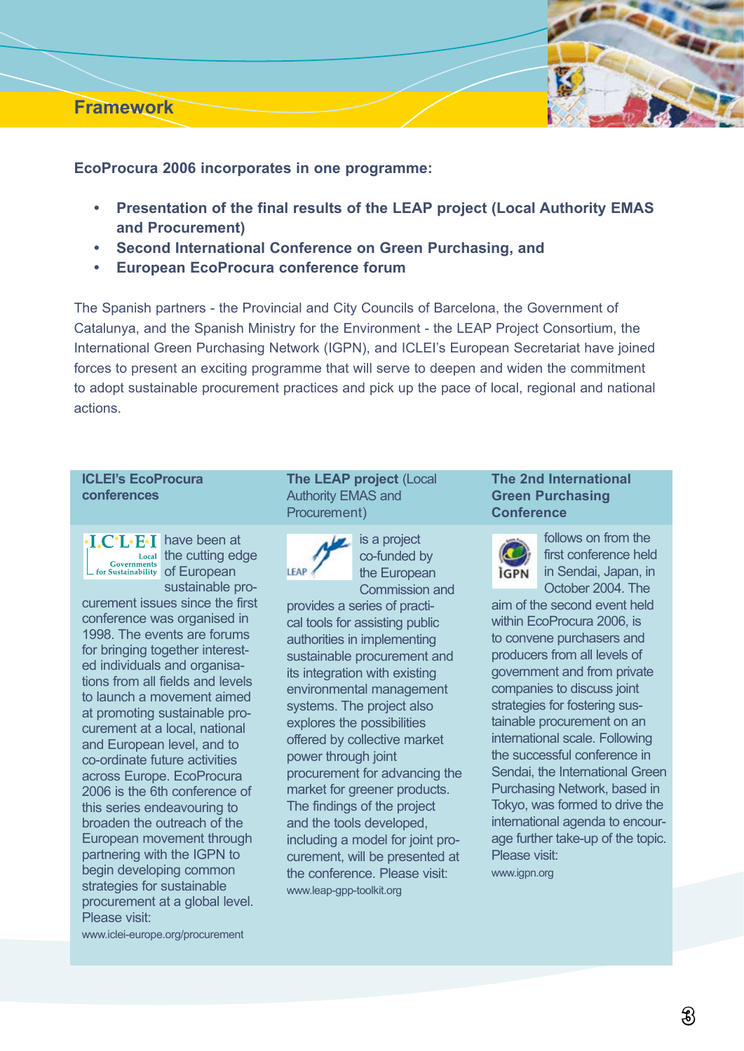## **Framework**



**EcoProcura 2006 incorporates in one programme:**

- **Presentation of the final results of the LEAP project (Local Authority EMAS and Procurement) •**
- **Second International Conference on Green Purchasing, and •**
- **European EcoProcura conference forum •**

The Spanish partners - the Provincial and City Councils of Barcelona, the Government of Catalunya, and the Spanish Ministry for the Environment - the LEAP Project Consortium, the International Green Purchasing Network (IGPN), and ICLEI's European Secretariat have joined forces to present an exciting programme that will serve to deepen and widen the commitment to adopt sustainable procurement practices and pick up the pace of local, regional and national actions.

## **ICLEI's EcoProcura conferences**

.I.C.L.E.I have been at the cutting edge of European sustainable pro-

curement issues since the first conference was organised in 1998. The events are forums for bringing together interested individuals and organisations from all fields and levels to launch a movement aimed at promoting sustainable procurement at a local, national and European level, and to co-ordinate future activities across Europe. EcoProcura 2006 is the 6th conference of this series endeavouring to broaden the outreach of the European movement through partnering with the IGPN to begin developing common strategies for sustainable procurement at a global level. Please visit:

www.iclei-europe.org/procurement

**The LEAP project** (Local Authority EMAS and Procurement)



is a project co-funded by the European Commission and

provides a series of practical tools for assisting public authorities in implementing sustainable procurement and its integration with existing environmental management systems. The project also explores the possibilities offered by collective market power through joint procurement for advancing the market for greener products. The findings of the project and the tools developed, including a model for joint procurement, will be presented at the conference. Please visit: www.leap-gpp-toolkit.org

## **The 2nd International Green Purchasing Conference**



follows on from the first conference held in Sendai, Japan, in October 2004. The

aim of the second event held within EcoProcura 2006, is to convene purchasers and producers from all levels of government and from private companies to discuss joint strategies for fostering sustainable procurement on an international scale. Following the successful conference in Sendai, the International Green Purchasing Network, based in Tokyo, was formed to drive the international agenda to encourage further take-up of the topic. Please visit: www.igpn.org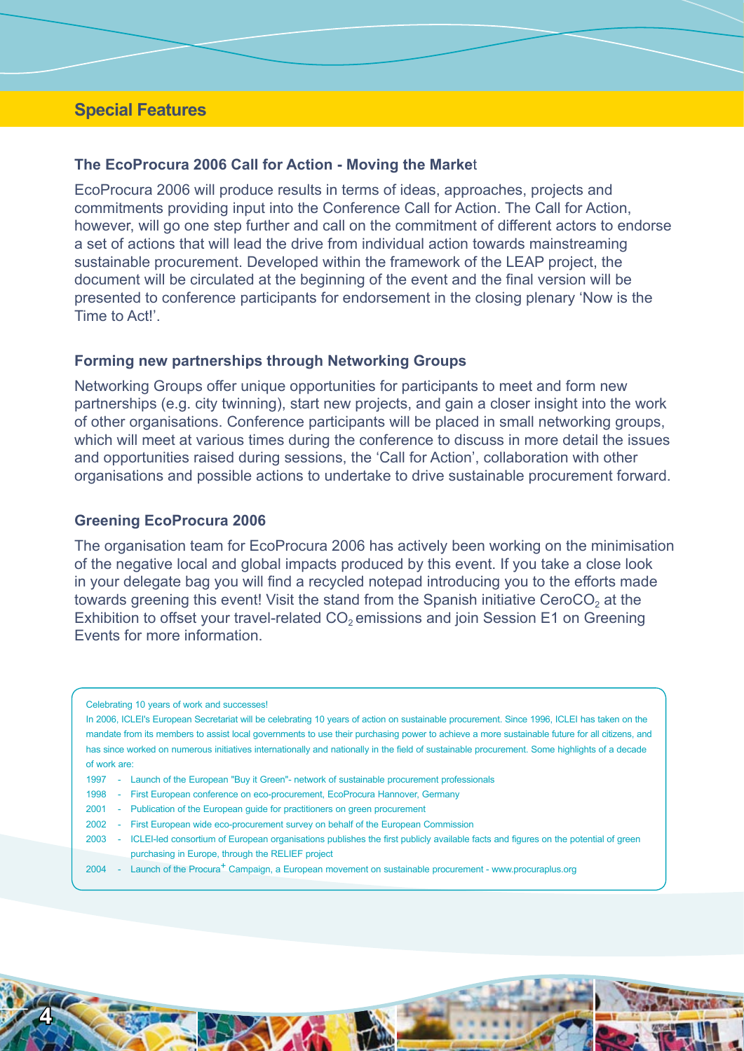## **Special Features**

## **The EcoProcura 2006 Call for Action - Moving the Marke**t

EcoProcura 2006 will produce results in terms of ideas, approaches, projects and commitments providing input into the Conference Call for Action. The Call for Action, however, will go one step further and call on the commitment of different actors to endorse a set of actions that will lead the drive from individual action towards mainstreaming sustainable procurement. Developed within the framework of the LEAP project, the document will be circulated at the beginning of the event and the final version will be presented to conference participants for endorsement in the closing plenary 'Now is the Time to Act!'.

## **Forming new partnerships through Networking Groups**

Networking Groups offer unique opportunities for participants to meet and form new partnerships (e.g. city twinning), start new projects, and gain a closer insight into the work of other organisations. Conference participants will be placed in small networking groups, which will meet at various times during the conference to discuss in more detail the issues and opportunities raised during sessions, the 'Call for Action', collaboration with other organisations and possible actions to undertake to drive sustainable procurement forward.

## **Greening EcoProcura 2006**

4

The organisation team for EcoProcura 2006 has actively been working on the minimisation of the negative local and global impacts produced by this event. If you take a close look in your delegate bag you will find a recycled notepad introducing you to the efforts made towards greening this event! Visit the stand from the Spanish initiative CeroCO<sub>2</sub> at the Exhibition to offset your travel-related  $CO<sub>2</sub>$  emissions and join Session E1 on Greening Events for more information.

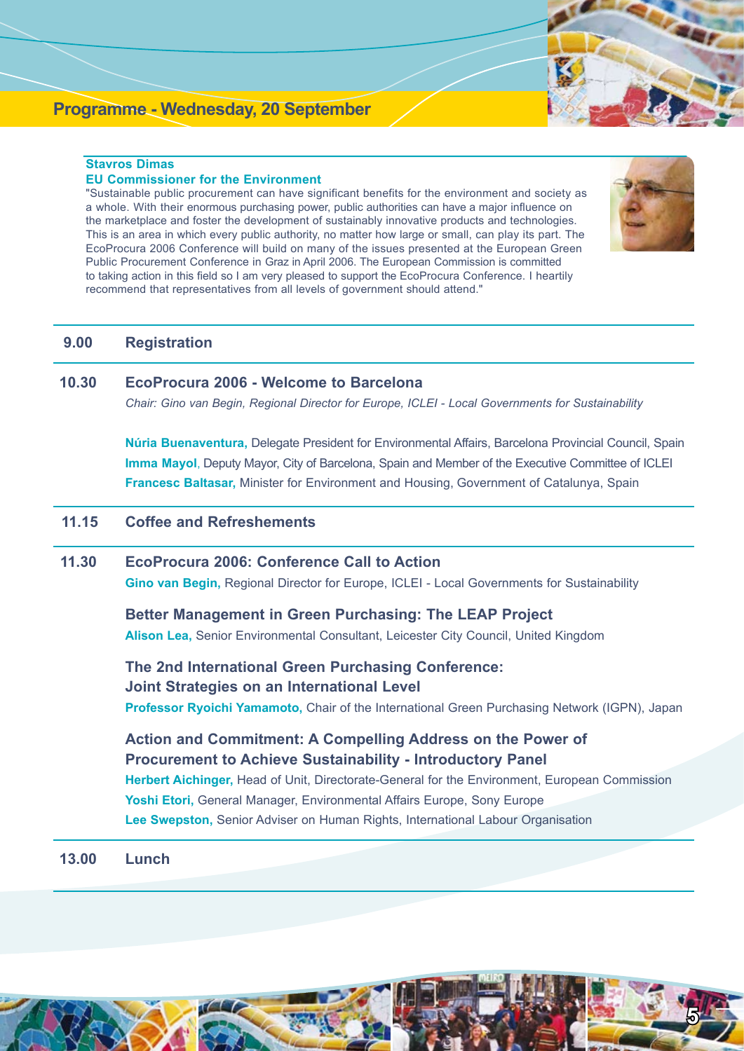## **Programme - Wednesday, 20 September**

## **Stavros Dimas**

#### **EU Commissioner for the Environment**

"Sustainable public procurement can have significant benefits for the environment and society as a whole. With their enormous purchasing power, public authorities can have a major influence on the marketplace and foster the development of sustainably innovative products and technologies. This is an area in which every public authority, no matter how large or small, can play its part. The EcoProcura 2006 Conference will build on many of the issues presented at the European Green Public Procurement Conference in Graz in April 2006. The European Commission is committed to taking action in this field so I am very pleased to support the EcoProcura Conference. I heartily recommend that representatives from all levels of government should attend."



## **9.00 Registration**

## **10.30 EcoProcura 2006 - Welcome to Barcelona**

 *Chair: Gino van Begin, Regional Director for Europe, ICLEI - Local Governments for Sustainability*

 **Núria Buenaventura,** Delegate President for Environmental Affairs, Barcelona Provincial Council, Spain  **Imma Mayol**, Deputy Mayor, City of Barcelona, Spain and Member of the Executive Committee of ICLEI **Francesc Baltasar,** Minister for Environment and Housing, Government of Catalunya, Spain

## **11.15 Coffee and Refreshements**

## **11.30 EcoProcura 2006: Conference Call to Action**

 **Gino van Begin,** Regional Director for Europe, ICLEI - Local Governments for Sustainability

 **Better Management in Green Purchasing: The LEAP Project Alison Lea,** Senior Environmental Consultant, Leicester City Council, United Kingdom

 **The 2nd International Green Purchasing Conference: Joint Strategies on an International Level Professor Ryoichi Yamamoto,** Chair of the International Green Purchasing Network (IGPN), Japan

 **Action and Commitment: A Compelling Address on the Power of Procurement to Achieve Sustainability - Introductory Panel Herbert Aichinger,** Head of Unit, Directorate-General for the Environment, European Commission **Yoshi Etori,** General Manager, Environmental Affairs Europe, Sony Europe **Lee Swepston,** Senior Adviser on Human Rights, International Labour Organisation

**13.00 Lunch**

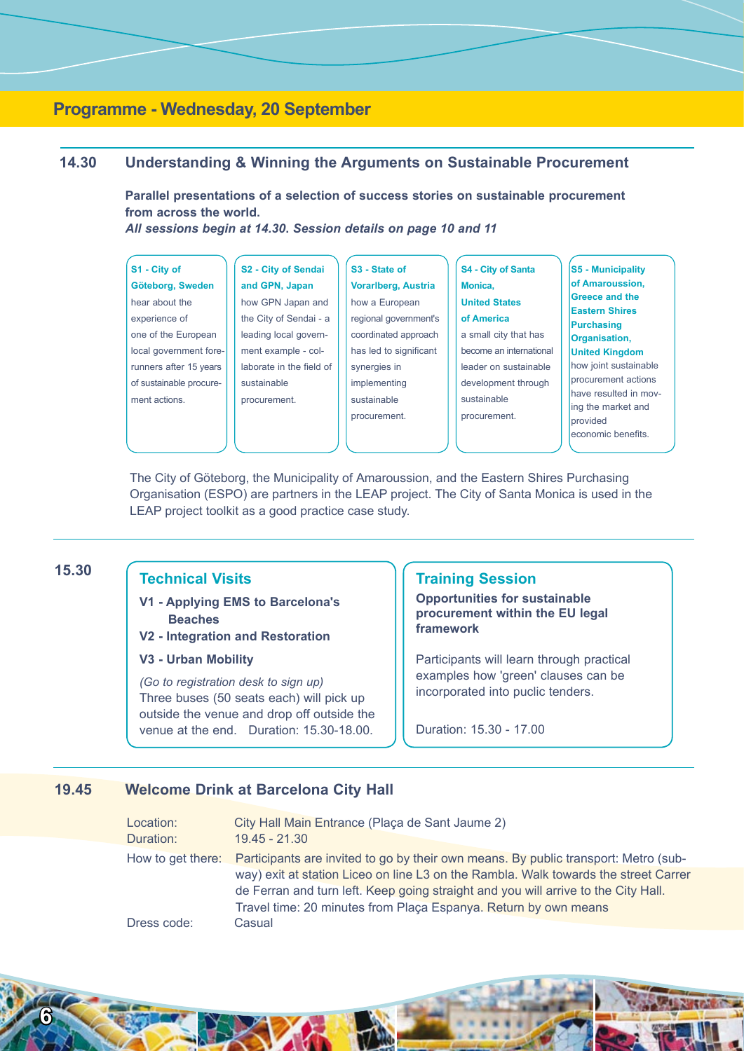## **Programme - Wednesday, 20 September**

## **14.30 Understanding & Winning the Arguments on Sustainable Procurement**

**Parallel presentations of a selection of success stories on sustainable procurement from across the world.** 

*All sessions begin at 14.30***.** *Session details on page 10 and 11*

| S1 - City of            |  |  |
|-------------------------|--|--|
| Göteborg, Sweden        |  |  |
| hear about the          |  |  |
| experience of           |  |  |
| one of the European     |  |  |
| local government fore-  |  |  |
| runners after 15 years  |  |  |
| of sustainable procure- |  |  |
| ment actions.           |  |  |
|                         |  |  |

| <b>S2 - City of Sendai</b> |  |  |
|----------------------------|--|--|
| and GPN, Japan             |  |  |
| how GPN Japan and          |  |  |
| the City of Sendai - a     |  |  |
| leading local govern-      |  |  |
| ment example - col-        |  |  |
| laborate in the field of   |  |  |
| sustainable                |  |  |
| procurement.               |  |  |
|                            |  |  |

**S3 - State of Vorarlberg, Austria** how a European regional government's coordinated approach has led to significant synergies in implementing sustainable procurement.

- **S4 City of Santa Monica, United States of America** a small city that has become an international leader on sustainable development through sustainable procurement.
- **S5 Municipality of Amaroussion, Greece and the Eastern Shires Purchasing Organisation, United Kingdom** how joint sustainable procurement actions have resulted in moving the market and provided economic benefits.

The City of Göteborg, the Municipality of Amaroussion, and the Eastern Shires Purchasing Organisation (ESPO) are partners in the LEAP project. The City of Santa Monica is used in the LEAP project toolkit as a good practice case study.

## **15.30**

## **Technical Visits**

- **V1 Applying EMS to Barcelona's Beaches**
- **V2 Integration and Restoration**
- **V3 Urban Mobility**

*(Go to registration desk to sign up)* Three buses (50 seats each) will pick up outside the venue and drop off outside the venue at the end. Duration: 15.30-18.00.

## **Training Session**

**Opportunities for sustainable procurement within the EU legal framework**

Participants will learn through practical examples how 'green' clauses can be incorporated into puclic tenders.

Duration: 15.30 - 17.00

## **19.45 Welcome Drink at Barcelona City Hall**

| Location:         | City Hall Main Entrance (Plaça de Sant Jaume 2)                                     |
|-------------------|-------------------------------------------------------------------------------------|
| Duration:         | $19.45 - 21.30$                                                                     |
| How to get there: | Participants are invited to go by their own means. By public transport: Metro (sub- |
|                   | way) exit at station Liceo on line L3 on the Rambla. Walk towards the street Carrer |
|                   | de Ferran and turn left. Keep going straight and you will arrive to the City Hall.  |
|                   | Travel time: 20 minutes from Plaça Espanya. Return by own means                     |
| Dress code:       | Casual                                                                              |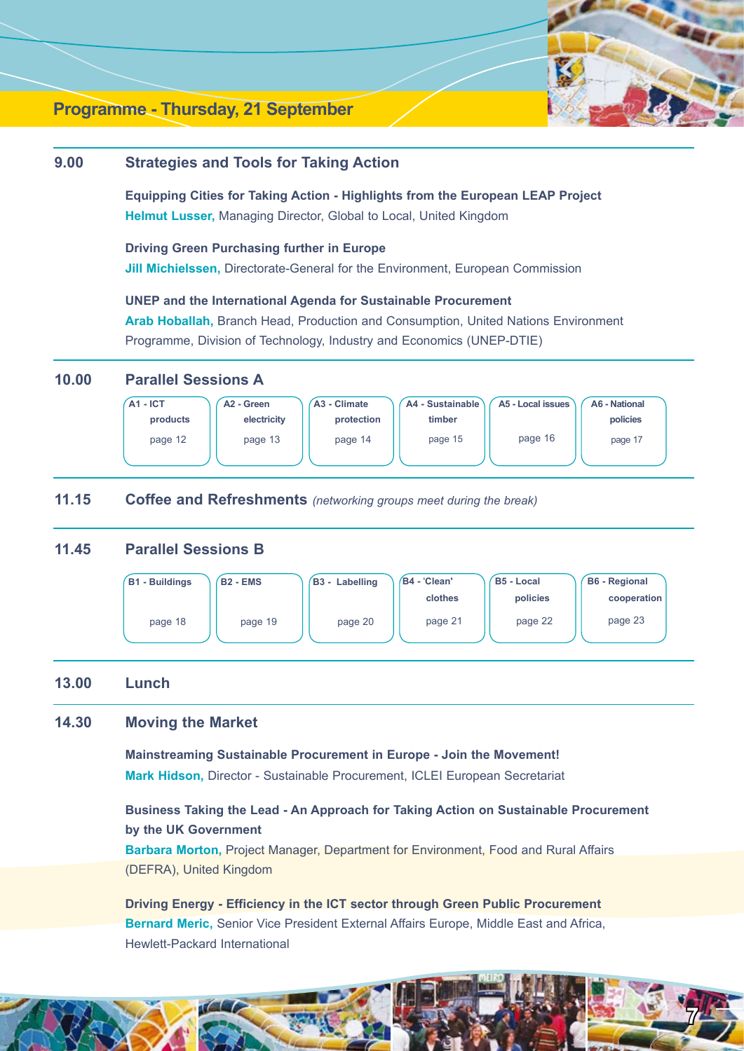

 $\overline{\mu}$ 

## **Programme - Thursday, 21 September**

## **9.00 Strategies and Tools for Taking Action**

 **Equipping Cities for Taking Action - Highlights from the European LEAP Project Helmut Lusser,** Managing Director, Global to Local, United Kingdom

 **Driving Green Purchasing further in Europe Jill Michielssen, Directorate-General for the Environment, European Commission** 

 **UNEP and the International Agenda for Sustainable Procurement Arab Hoballah,** Branch Head, Production and Consumption, United Nations Environment Programme, Division of Technology, Industry and Economics (UNEP-DTIE)

## **10.00 Parallel Sessions A**



## **11.15 Coffee and Refreshments** *(networking groups meet during the break)*

## **11.45 Parallel Sessions B**



## **13.00 Lunch**

## **14.30 Moving the Market**

**Mainstreaming Sustainable Procurement in Europe - Join the Movement! Mark Hidson,** Director - Sustainable Procurement, ICLEI European Secretariat

 **Business Taking the Lead - An Approach for Taking Action on Sustainable Procurement by the UK Government**

 **Barbara Morton,** Project Manager, Department for Environment, Food and Rural Affairs (DEFRA), United Kingdom

 **Driving Energy - Efficiency in the ICT sector through Green Public Procurement Bernard Meric,** Senior Vice President External Affairs Europe, Middle East and Africa, Hewlett-Packard International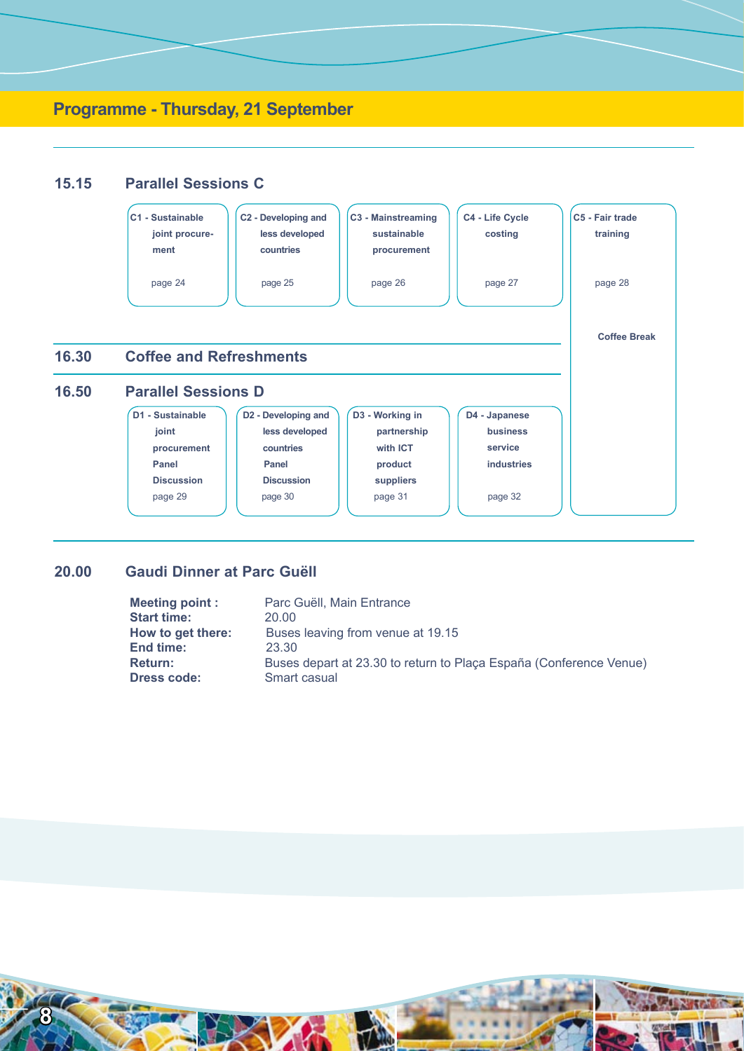

## **20.00 Gaudi Dinner at Parc Guëll**

| <b>Meeting point:</b> | Parc Guëll, Main Entrance                                          |
|-----------------------|--------------------------------------------------------------------|
| <b>Start time:</b>    | 20.00                                                              |
| How to get there:     | Buses leaving from venue at 19.15                                  |
| End time:             | 23.30                                                              |
| Return:               | Buses depart at 23.30 to return to Plaça España (Conference Venue) |
| <b>Dress code:</b>    | Smart casual                                                       |

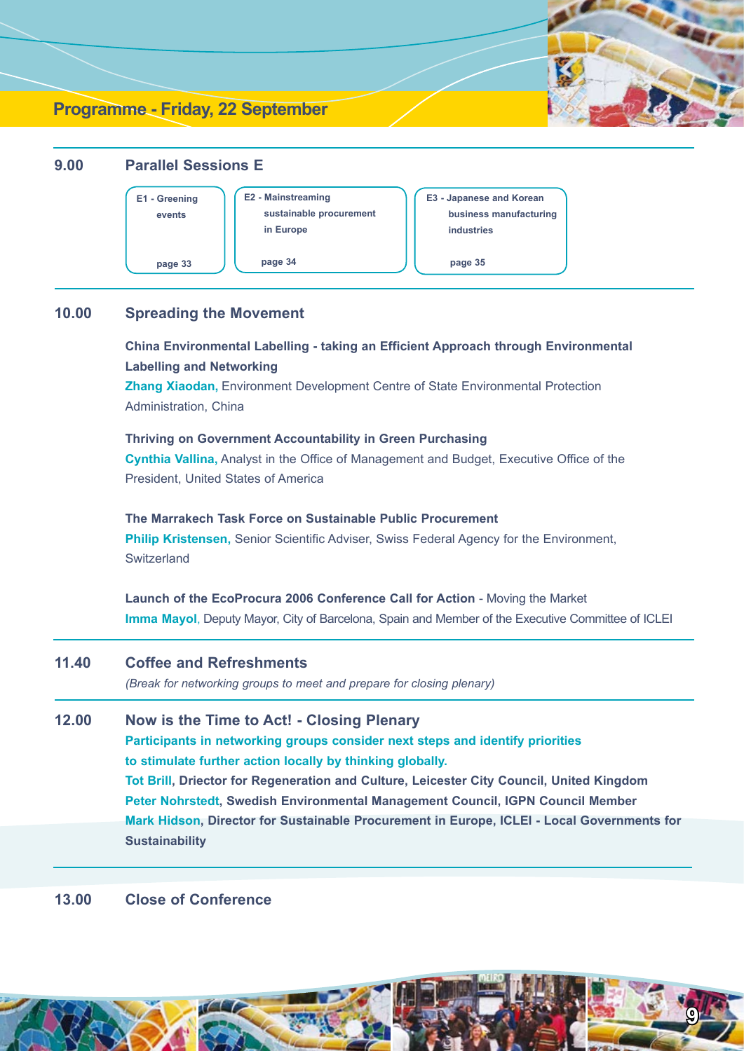## **Programme - Friday, 22 September**



## **10.00 Spreading the Movement**

 **China Environmental Labelling - taking an Efficient Approach through Environmental Labelling and Networking**

 **Zhang Xiaodan,** Environment Development Centre of State Environmental Protection Administration, China

 **Thriving on Government Accountability in Green Purchasing Cynthia Vallina,** Analyst in the Office of Management and Budget, Executive Office of the President, United States of America

 **The Marrakech Task Force on Sustainable Public Procurement Philip Kristensen,** Senior Scientific Adviser, Swiss Federal Agency for the Environment, **Switzerland** 

 **Launch of the EcoProcura 2006 Conference Call for Action** - Moving the Market **Imma Mayol**, Deputy Mayor, City of Barcelona, Spain and Member of the Executive Committee of ICLEI

- **11.40 Coffee and Refreshments** *(Break for networking groups to meet and prepare for closing plenary)*
- **12.00 Now is the Time to Act! Closing Plenary Participants in networking groups consider next steps and identify priorities to stimulate further action locally by thinking globally. Tot Brill, Driector for Regeneration and Culture, Leicester City Council, United Kingdom Peter Nohrstedt, Swedish Environmental Management Council, IGPN Council Member Mark Hidson, Director for Sustainable Procurement in Europe, ICLEI - Local Governments for Sustainability**

## **13.00 Close of Conference**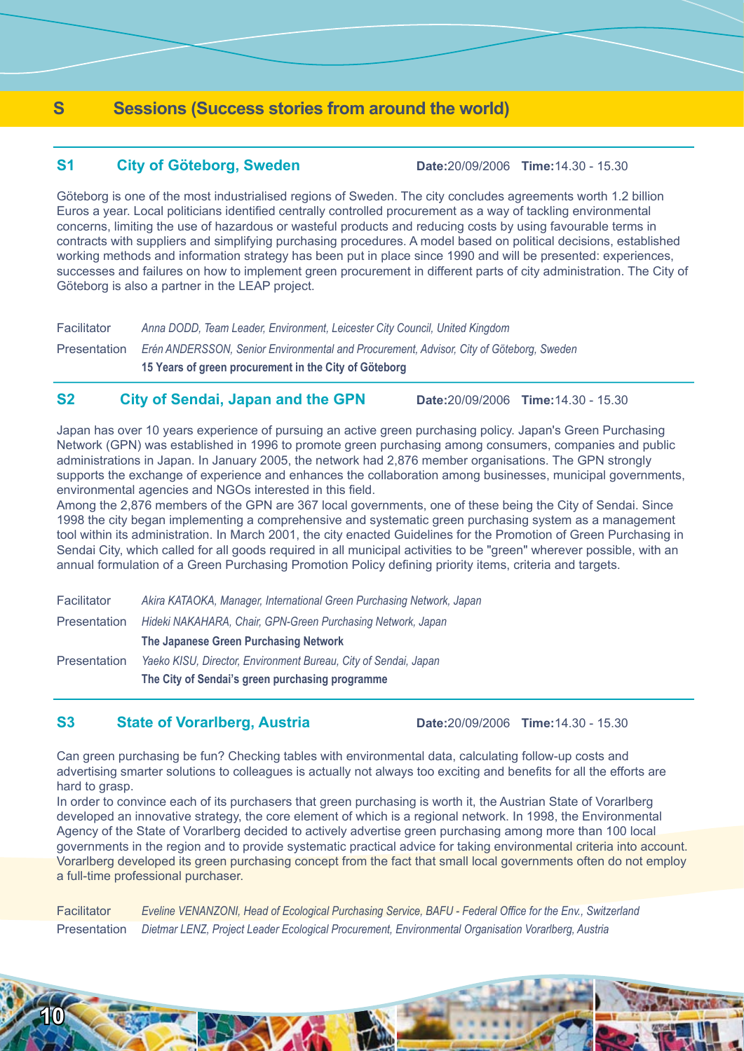## **S Sessions (Success stories from around the world)**

## **S1 City of Göteborg, Sweden Date:**20/09/2006 **Time:**14.30 - 15.30

Göteborg is one of the most industrialised regions of Sweden. The city concludes agreements worth 1.2 billion Euros a year. Local politicians identified centrally controlled procurement as a way of tackling environmental concerns, limiting the use of hazardous or wasteful products and reducing costs by using favourable terms in contracts with suppliers and simplifying purchasing procedures. A model based on political decisions, established working methods and information strategy has been put in place since 1990 and will be presented: experiences, successes and failures on how to implement green procurement in different parts of city administration. The City of Göteborg is also a partner in the LEAP project.

Facilitator *Anna DODD, Team Leader, Environment, Leicester City Council, United Kingdom*

Presentation *Erén ANDERSSON, Senior Environmental and Procurement, Advisor, City of Göteborg, Sweden* **15 Years of green procurement in the City of Göteborg**

## **S2 City of Sendai, Japan and the GPN Date:**20/09/2006 **Time:**14.30 - 15.30

Japan has over 10 years experience of pursuing an active green purchasing policy. Japan's Green Purchasing Network (GPN) was established in 1996 to promote green purchasing among consumers, companies and public administrations in Japan. In January 2005, the network had 2,876 member organisations. The GPN strongly supports the exchange of experience and enhances the collaboration among businesses, municipal governments, environmental agencies and NGOs interested in this field.

Among the 2,876 members of the GPN are 367 local governments, one of these being the City of Sendai. Since 1998 the city began implementing a comprehensive and systematic green purchasing system as a management tool within its administration. In March 2001, the city enacted Guidelines for the Promotion of Green Purchasing in Sendai City, which called for all goods required in all municipal activities to be "green" wherever possible, with an annual formulation of a Green Purchasing Promotion Policy defining priority items, criteria and targets.

|                                                                                    | The City of Sendai's green purchasing programme                       |  |
|------------------------------------------------------------------------------------|-----------------------------------------------------------------------|--|
| <b>Presentation</b>                                                                | Yaeko KISU, Director, Environment Bureau, City of Sendai, Japan       |  |
|                                                                                    | The Japanese Green Purchasing Network                                 |  |
| Hideki NAKAHARA, Chair, GPN-Green Purchasing Network, Japan<br><b>Presentation</b> |                                                                       |  |
| <b>Facilitator</b>                                                                 | Akira KATAOKA, Manager, International Green Purchasing Network, Japan |  |

## **S3 State of Vorarlberg, Austria Date:**20/09/2006 **Time:**14.30 - 15.30

Can green purchasing be fun? Checking tables with environmental data, calculating follow-up costs and advertising smarter solutions to colleagues is actually not always too exciting and benefits for all the efforts are hard to grasp.

In order to convince each of its purchasers that green purchasing is worth it, the Austrian State of Vorarlberg developed an innovative strategy, the core element of which is a regional network. In 1998, the Environmental Agency of the State of Vorarlberg decided to actively advertise green purchasing among more than 100 local governments in the region and to provide systematic practical advice for taking environmental criteria into account. Vorarlberg developed its green purchasing concept from the fact that small local governments often do not employ a full-time professional purchaser.

Facilitator *Eveline VENANZONI, Head of Ecological Purchasing Service, BAFU - Federal Office for the Env., Switzerland*  Presentation *Dietmar LENZ, Project Leader Ecological Procurement, Environmental Organisation Vorarlberg, Austria*

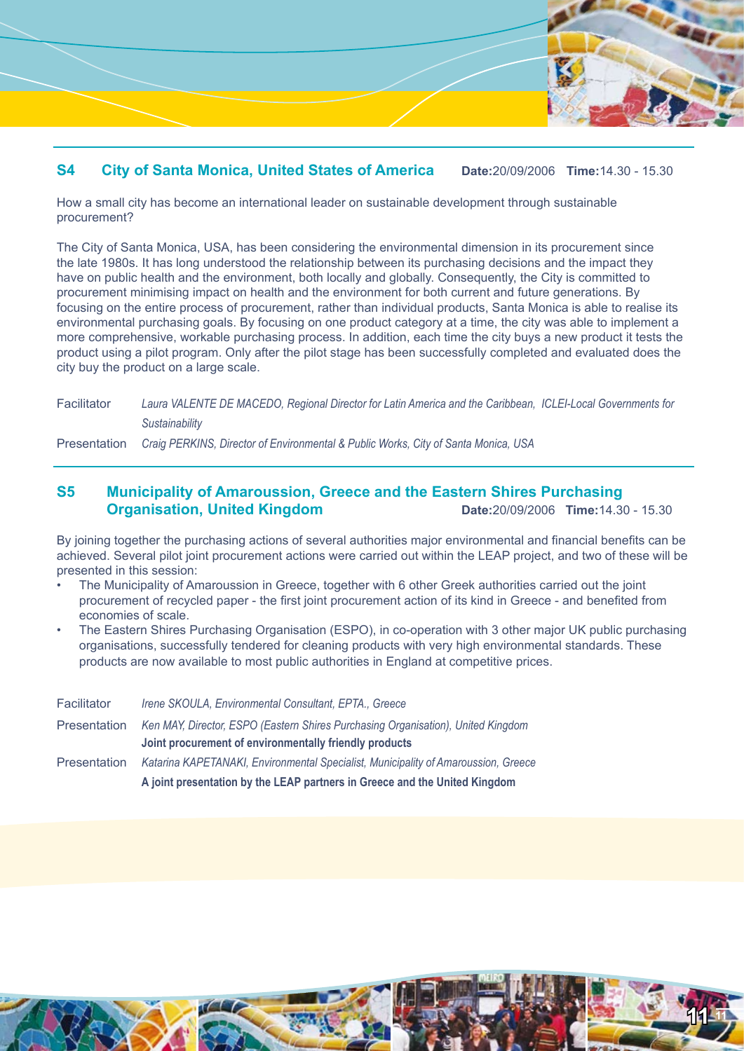

## **S4 City of Santa Monica, United States of America Date:**20/09/2006 **Time:**14.30 - 15.30

How a small city has become an international leader on sustainable development through sustainable procurement?

The City of Santa Monica, USA, has been considering the environmental dimension in its procurement since the late 1980s. It has long understood the relationship between its purchasing decisions and the impact they have on public health and the environment, both locally and globally. Consequently, the City is committed to procurement minimising impact on health and the environment for both current and future generations. By focusing on the entire process of procurement, rather than individual products, Santa Monica is able to realise its environmental purchasing goals. By focusing on one product category at a time, the city was able to implement a more comprehensive, workable purchasing process. In addition, each time the city buys a new product it tests the product using a pilot program. Only after the pilot stage has been successfully completed and evaluated does the city buy the product on a large scale.

| Laura VALENTE DE MACEDO, Regional Director for Latin America and the Caribbean, ICLEI-Local Governments for<br>Sustainability |
|-------------------------------------------------------------------------------------------------------------------------------|
|                                                                                                                               |

Presentation *Craig PERKINS, Director of Environmental & Public Works, City of Santa Monica, USA*

## **S5 Municipality of Amaroussion, Greece and the Eastern Shires Purchasing Organisation, United Kingdom Date:**20/09/2006 **Time:**14.30 - 15.30

By joining together the purchasing actions of several authorities major environmental and financial benefits can be achieved. Several pilot joint procurement actions were carried out within the LEAP project, and two of these will be presented in this session:

- The Municipality of Amaroussion in Greece, together with 6 other Greek authorities carried out the joint procurement of recycled paper - the first joint procurement action of its kind in Greece - and benefited from economies of scale. •
- The Eastern Shires Purchasing Organisation (ESPO), in co-operation with 3 other major UK public purchasing organisations, successfully tendered for cleaning products with very high environmental standards. These products are now available to most public authorities in England at competitive prices. •

|                     | A joint presentation by the LEAP partners in Greece and the United Kingdom         |  |  |
|---------------------|------------------------------------------------------------------------------------|--|--|
| <b>Presentation</b> | Katarina KAPETANAKI, Environmental Specialist, Municipality of Amaroussion, Greece |  |  |
|                     | Joint procurement of environmentally friendly products                             |  |  |
| Presentation        | Ken MAY, Director, ESPO (Eastern Shires Purchasing Organisation), United Kingdom   |  |  |
| Facilitator         | Irene SKOULA, Environmental Consultant, EPTA., Greece                              |  |  |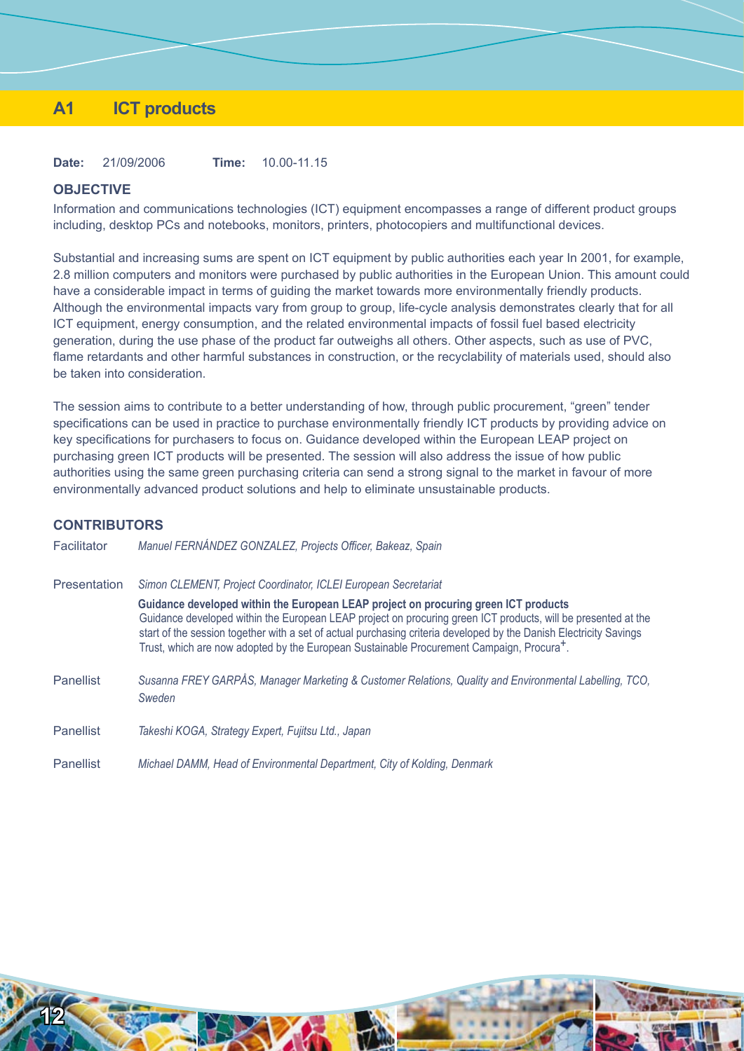## **A1 ICT products**

**Date:** 21/09/2006 **Time:** 10.00-11.15

## **OBJECTIVE**

Information and communications technologies (ICT) equipment encompasses a range of different product groups including, desktop PCs and notebooks, monitors, printers, photocopiers and multifunctional devices.

Substantial and increasing sums are spent on ICT equipment by public authorities each year In 2001, for example, 2.8 million computers and monitors were purchased by public authorities in the European Union. This amount could have a considerable impact in terms of guiding the market towards more environmentally friendly products. Although the environmental impacts vary from group to group, life-cycle analysis demonstrates clearly that for all ICT equipment, energy consumption, and the related environmental impacts of fossil fuel based electricity generation, during the use phase of the product far outweighs all others. Other aspects, such as use of PVC, flame retardants and other harmful substances in construction, or the recyclability of materials used, should also be taken into consideration.

The session aims to contribute to a better understanding of how, through public procurement, "green" tender specifications can be used in practice to purchase environmentally friendly ICT products by providing advice on key specifications for purchasers to focus on. Guidance developed within the European LEAP project on purchasing green ICT products will be presented. The session will also address the issue of how public authorities using the same green purchasing criteria can send a strong signal to the market in favour of more environmentally advanced product solutions and help to eliminate unsustainable products.

#### **CONTRIBUTORS**

| Facilitator      | Manuel FERNÁNDEZ GONZALEZ, Projects Officer, Bakeaz, Spain                                                                                                                                                                                                                                                                                                                                                                                                                                            |
|------------------|-------------------------------------------------------------------------------------------------------------------------------------------------------------------------------------------------------------------------------------------------------------------------------------------------------------------------------------------------------------------------------------------------------------------------------------------------------------------------------------------------------|
| Presentation     | Simon CLEMENT, Project Coordinator, ICLEI European Secretariat<br>Guidance developed within the European LEAP project on procuring green ICT products<br>Guidance developed within the European LEAP project on procuring green ICT products, will be presented at the<br>start of the session together with a set of actual purchasing criteria developed by the Danish Electricity Savings<br>Trust, which are now adopted by the European Sustainable Procurement Campaign, Procura <sup>+</sup> . |
| <b>Panellist</b> | Susanna FREY GARPÅS, Manager Marketing & Customer Relations, Quality and Environmental Labelling, TCO,<br>Sweden                                                                                                                                                                                                                                                                                                                                                                                      |
| <b>Panellist</b> | Takeshi KOGA, Strategy Expert, Fujitsu Ltd., Japan                                                                                                                                                                                                                                                                                                                                                                                                                                                    |
| Panellist        | Michael DAMM, Head of Environmental Department, City of Kolding, Denmark                                                                                                                                                                                                                                                                                                                                                                                                                              |

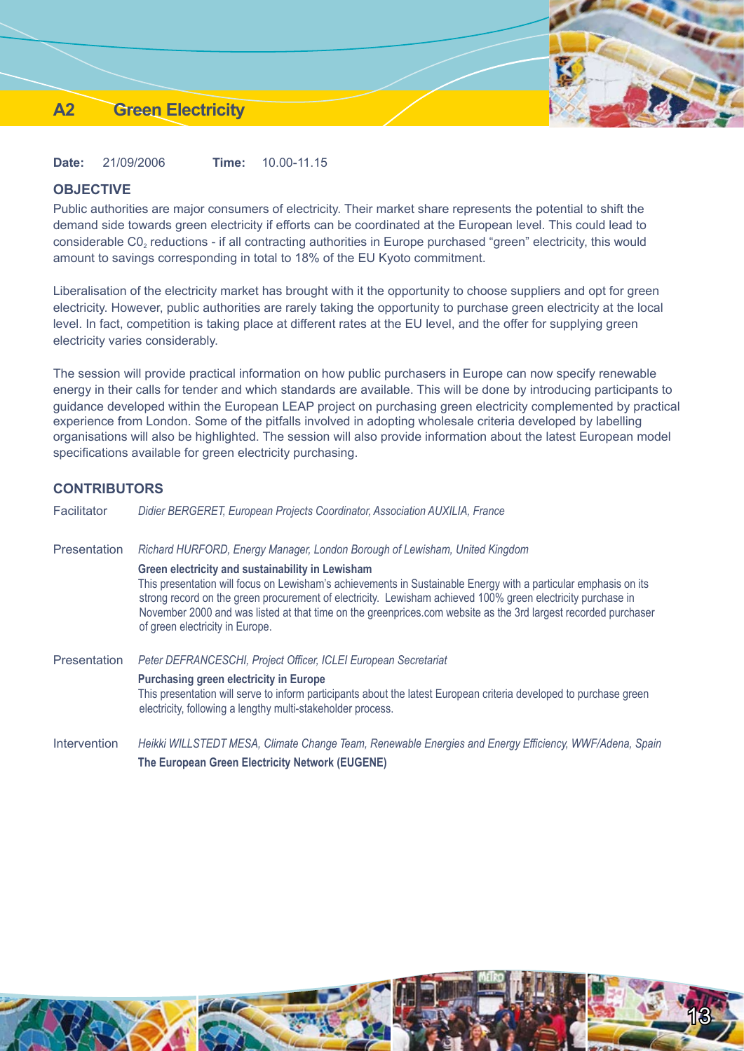## **A2 Green Electricity**

**Date:** 21/09/2006 **Time:** 10.00-11.15

## **OBJECTIVE**

Public authorities are major consumers of electricity. Their market share represents the potential to shift the demand side towards green electricity if efforts can be coordinated at the European level. This could lead to considerable C0<sub>2</sub> reductions - if all contracting authorities in Europe purchased "green" electricity, this would amount to savings corresponding in total to 18% of the EU Kyoto commitment.

Liberalisation of the electricity market has brought with it the opportunity to choose suppliers and opt for green electricity. However, public authorities are rarely taking the opportunity to purchase green electricity at the local level. In fact, competition is taking place at different rates at the EU level, and the offer for supplying green electricity varies considerably.

The session will provide practical information on how public purchasers in Europe can now specify renewable energy in their calls for tender and which standards are available. This will be done by introducing participants to guidance developed within the European LEAP project on purchasing green electricity complemented by practical experience from London. Some of the pitfalls involved in adopting wholesale criteria developed by labelling organisations will also be highlighted. The session will also provide information about the latest European model specifications available for green electricity purchasing.

## **CONTRIBUTORS**

| Facilitator  | Didier BERGERET, European Projects Coordinator, Association AUXILIA, France                                                                                                                                                                                                                                                                                                                                                             |
|--------------|-----------------------------------------------------------------------------------------------------------------------------------------------------------------------------------------------------------------------------------------------------------------------------------------------------------------------------------------------------------------------------------------------------------------------------------------|
| Presentation | Richard HURFORD, Energy Manager, London Borough of Lewisham, United Kingdom                                                                                                                                                                                                                                                                                                                                                             |
|              | Green electricity and sustainability in Lewisham<br>This presentation will focus on Lewisham's achievements in Sustainable Energy with a particular emphasis on its<br>strong record on the green procurement of electricity. Lewisham achieved 100% green electricity purchase in<br>November 2000 and was listed at that time on the greenprices.com website as the 3rd largest recorded purchaser<br>of green electricity in Europe. |
| Presentation | Peter DEFRANCESCHI, Project Officer, ICLEI European Secretariat<br><b>Purchasing green electricity in Europe</b><br>This presentation will serve to inform participants about the latest European criteria developed to purchase green<br>electricity, following a lengthy multi-stakeholder process.                                                                                                                                   |
| Intervention | Heikki WILLSTEDT MESA, Climate Change Team, Renewable Energies and Energy Efficiency, WWF/Adena, Spain<br>The European Green Electricity Network (EUGENE)                                                                                                                                                                                                                                                                               |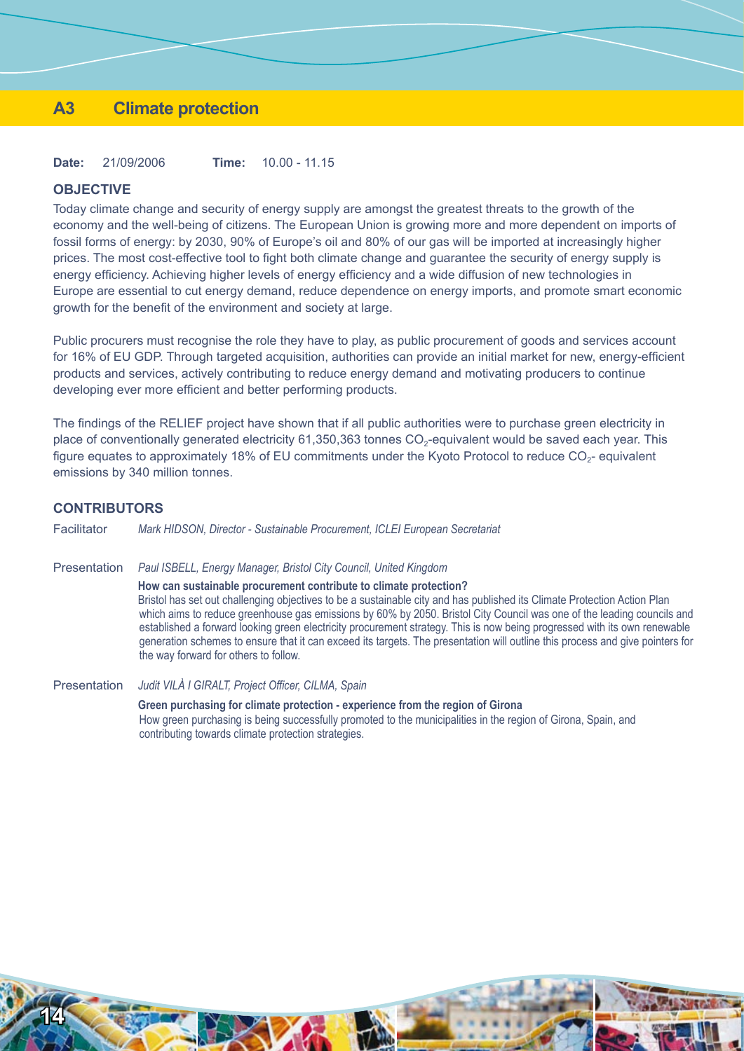## **A3 Climate protection**

**Date:** 21/09/2006 **Time:** 10.00 - 11.15

## **OBJECTIVE**

Today climate change and security of energy supply are amongst the greatest threats to the growth of the economy and the well-being of citizens. The European Union is growing more and more dependent on imports of fossil forms of energy: by 2030, 90% of Europe's oil and 80% of our gas will be imported at increasingly higher prices. The most cost-effective tool to fight both climate change and guarantee the security of energy supply is energy efficiency. Achieving higher levels of energy efficiency and a wide diffusion of new technologies in Europe are essential to cut energy demand, reduce dependence on energy imports, and promote smart economic growth for the benefit of the environment and society at large.

Public procurers must recognise the role they have to play, as public procurement of goods and services account for 16% of EU GDP. Through targeted acquisition, authorities can provide an initial market for new, energy-efficient products and services, actively contributing to reduce energy demand and motivating producers to continue developing ever more efficient and better performing products.

The findings of the RELIEF project have shown that if all public authorities were to purchase green electricity in place of conventionally generated electricity 61,350,363 tonnes CO<sub>2</sub>-equivalent would be saved each year. This figure equates to approximately 18% of EU commitments under the Kyoto Protocol to reduce  $CO<sub>2</sub>$ - equivalent emissions by 340 million tonnes.

#### **CONTRIBUTORS**

**14**

**Reference** 

Facilitator *Mark HIDSON, Director - Sustainable Procurement, ICLEI European Secretariat*

Presentation *Paul ISBELL, Energy Manager, Bristol City Council, United Kingdom* **How can sustainable procurement contribute to climate protection?** Bristol has set out challenging objectives to be a sustainable city and has published its Climate Protection Action Plan which aims to reduce greenhouse gas emissions by 60% by 2050. Bristol City Council was one of the leading councils and established a forward looking green electricity procurement strategy. This is now being progressed with its own renewable generation schemes to ensure that it can exceed its targets. The presentation will outline this process and give pointers for the way forward for others to follow.

Presentation *Judit VILÀ I GIRALT, Project Officer, CILMA, Spain* **Green purchasing for climate protection - experience from the region of Girona** How green purchasing is being successfully promoted to the municipalities in the region of Girona, Spain, and contributing towards climate protection strategies.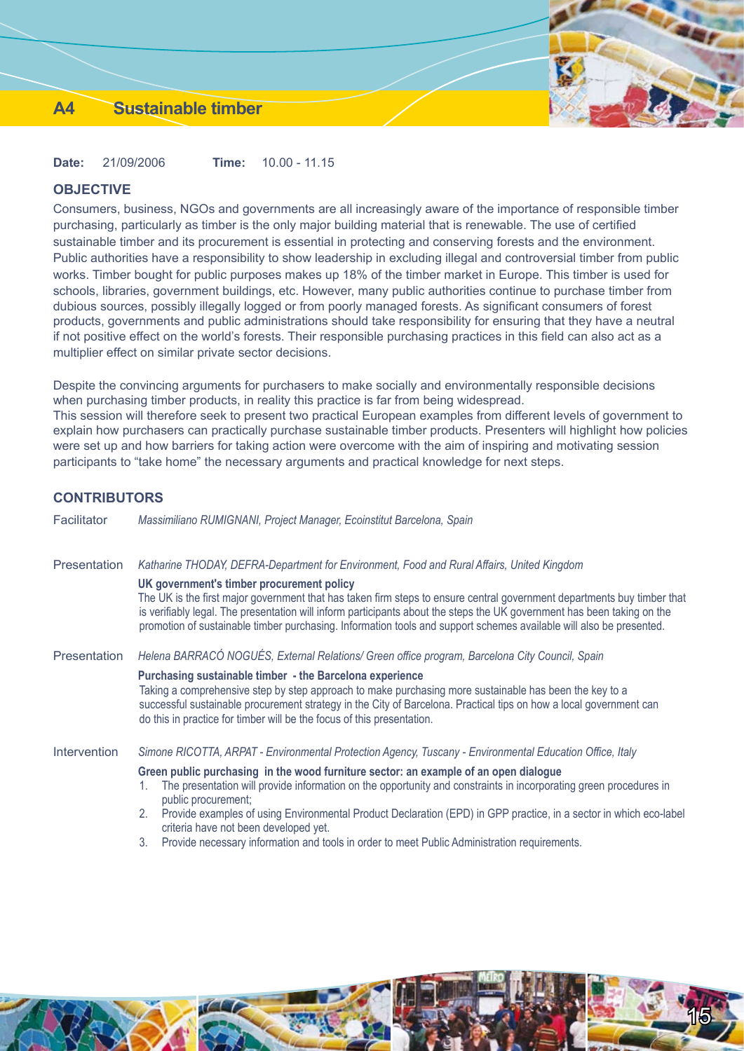## **A4 Sustainable timber**

**Date:** 21/09/2006 **Time:** 10.00 - 11.15

## **OBJECTIVE**

Consumers, business, NGOs and governments are all increasingly aware of the importance of responsible timber purchasing, particularly as timber is the only major building material that is renewable. The use of certified sustainable timber and its procurement is essential in protecting and conserving forests and the environment. Public authorities have a responsibility to show leadership in excluding illegal and controversial timber from public works. Timber bought for public purposes makes up 18% of the timber market in Europe. This timber is used for schools, libraries, government buildings, etc. However, many public authorities continue to purchase timber from dubious sources, possibly illegally logged or from poorly managed forests. As significant consumers of forest products, governments and public administrations should take responsibility for ensuring that they have a neutral if not positive effect on the world's forests. Their responsible purchasing practices in this field can also act as a multiplier effect on similar private sector decisions.

Despite the convincing arguments for purchasers to make socially and environmentally responsible decisions when purchasing timber products, in reality this practice is far from being widespread. This session will therefore seek to present two practical European examples from different levels of government to explain how purchasers can practically purchase sustainable timber products. Presenters will highlight how policies were set up and how barriers for taking action were overcome with the aim of inspiring and motivating session participants to "take home" the necessary arguments and practical knowledge for next steps.

## **CONTRIBUTORS**

| Facilitator  | Massimiliano RUMIGNANI, Project Manager, Ecoinstitut Barcelona, Spain                                                                                                                                                                                                                                                                                                                                                  |  |  |
|--------------|------------------------------------------------------------------------------------------------------------------------------------------------------------------------------------------------------------------------------------------------------------------------------------------------------------------------------------------------------------------------------------------------------------------------|--|--|
| Presentation | Katharine THODAY, DEFRA-Department for Environment, Food and Rural Affairs, United Kingdom                                                                                                                                                                                                                                                                                                                             |  |  |
|              | UK government's timber procurement policy<br>The UK is the first major government that has taken firm steps to ensure central government departments buy timber that<br>is verifiably legal. The presentation will inform participants about the steps the UK government has been taking on the<br>promotion of sustainable timber purchasing. Information tools and support schemes available will also be presented. |  |  |
| Presentation | Helena BARRACÓ NOGUÉS, External Relations/ Green office program, Barcelona City Council, Spain                                                                                                                                                                                                                                                                                                                         |  |  |
|              | Purchasing sustainable timber - the Barcelona experience<br>Taking a comprehensive step by step approach to make purchasing more sustainable has been the key to a<br>successful sustainable procurement strategy in the City of Barcelona. Practical tips on how a local government can<br>do this in practice for timber will be the focus of this presentation.                                                     |  |  |
| Intervention | Simone RICOTTA, ARPAT - Environmental Protection Agency, Tuscany - Environmental Education Office, Italy                                                                                                                                                                                                                                                                                                               |  |  |
|              | Green public purchasing in the wood furniture sector: an example of an open dialogue                                                                                                                                                                                                                                                                                                                                   |  |  |
|              | The presentation will provide information on the opportunity and constraints in incorporating green procedures in<br>1.<br>public procurement;                                                                                                                                                                                                                                                                         |  |  |
|              | Provide examples of using Environmental Product Declaration (EPD) in GPP practice, in a sector in which eco-label<br>2.<br>criteria have not been developed yet.                                                                                                                                                                                                                                                       |  |  |
|              | <b>Drougle persons unformation and tools in order to most Public Administration requirements</b>                                                                                                                                                                                                                                                                                                                       |  |  |

vide necessary information and tools in order to meet Public Administration requirements. 3.

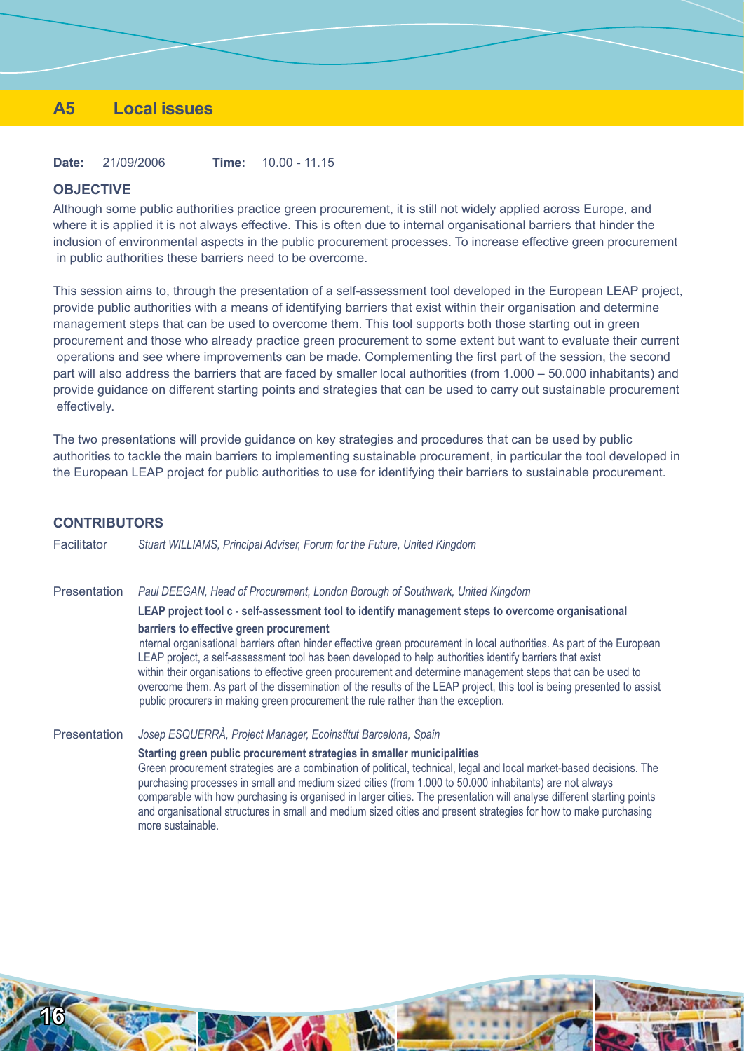## **A5 Local issues**

**Date:** 21/09/2006 **Time:** 10.00 - 11.15

more sustainable.

#### **OBJECTIVE**

Although some public authorities practice green procurement, it is still not widely applied across Europe, and where it is applied it is not always effective. This is often due to internal organisational barriers that hinder the inclusion of environmental aspects in the public procurement processes. To increase effective green procurement in public authorities these barriers need to be overcome.

This session aims to, through the presentation of a self-assessment tool developed in the European LEAP project, provide public authorities with a means of identifying barriers that exist within their organisation and determine management steps that can be used to overcome them. This tool supports both those starting out in green procurement and those who already practice green procurement to some extent but want to evaluate their current operations and see where improvements can be made. Complementing the first part of the session, the second part will also address the barriers that are faced by smaller local authorities (from 1.000 – 50.000 inhabitants) and provide guidance on different starting points and strategies that can be used to carry out sustainable procurement effectively.

The two presentations will provide guidance on key strategies and procedures that can be used by public authorities to tackle the main barriers to implementing sustainable procurement, in particular the tool developed in the European LEAP project for public authorities to use for identifying their barriers to sustainable procurement.

| <b>CONTRIBUTORS</b> |                                                                                                                                                                                                                                                                                                                                                                                                                                                                                                                                                                                                             |
|---------------------|-------------------------------------------------------------------------------------------------------------------------------------------------------------------------------------------------------------------------------------------------------------------------------------------------------------------------------------------------------------------------------------------------------------------------------------------------------------------------------------------------------------------------------------------------------------------------------------------------------------|
| Facilitator         | Stuart WILLIAMS, Principal Adviser, Forum for the Future, United Kingdom                                                                                                                                                                                                                                                                                                                                                                                                                                                                                                                                    |
| Presentation        | Paul DEEGAN, Head of Procurement, London Borough of Southwark, United Kingdom                                                                                                                                                                                                                                                                                                                                                                                                                                                                                                                               |
|                     | LEAP project tool c - self-assessment tool to identify management steps to overcome organisational                                                                                                                                                                                                                                                                                                                                                                                                                                                                                                          |
|                     | barriers to effective green procurement<br>nternal organisational barriers often hinder effective green procurement in local authorities. As part of the European<br>LEAP project, a self-assessment tool has been developed to help authorities identify barriers that exist<br>within their organisations to effective green procurement and determine management steps that can be used to<br>overcome them. As part of the dissemination of the results of the LEAP project, this tool is being presented to assist<br>public procurers in making green procurement the rule rather than the exception. |
| Presentation        | Josep ESQUERRÀ, Project Manager, Ecoinstitut Barcelona, Spain                                                                                                                                                                                                                                                                                                                                                                                                                                                                                                                                               |
|                     | Starting green public procurement strategies in smaller municipalities<br>Green procurement strategies are a combination of political, technical, legal and local market-based decisions. The<br>purchasing processes in small and medium sized cities (from 1.000 to 50.000 inhabitants) are not always<br>comparable with how purchasing is organised in larger cities. The presentation will analyse different starting points                                                                                                                                                                           |



and organisational structures in small and medium sized cities and present strategies for how to make purchasing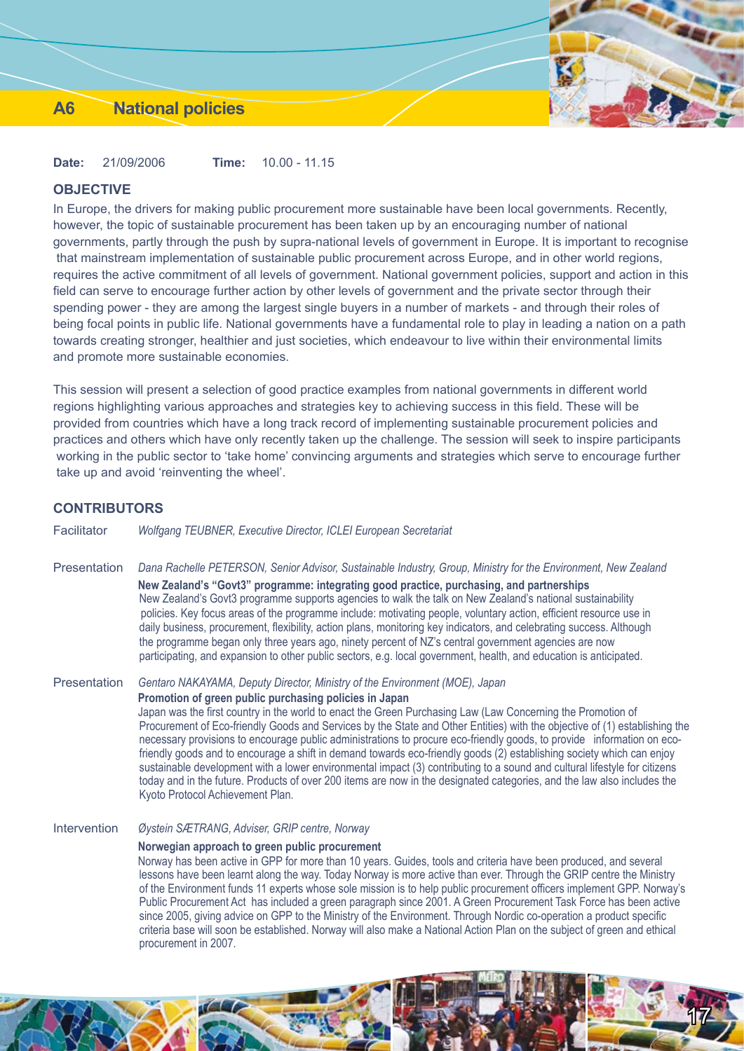## **A6 National policies**

**Date:** 21/09/2006 **Time:** 10.00 - 11.15

## **OBJECTIVE**

In Europe, the drivers for making public procurement more sustainable have been local governments. Recently, however, the topic of sustainable procurement has been taken up by an encouraging number of national governments, partly through the push by supra-national levels of government in Europe. It is important to recognise that mainstream implementation of sustainable public procurement across Europe, and in other world regions, requires the active commitment of all levels of government. National government policies, support and action in this field can serve to encourage further action by other levels of government and the private sector through their spending power - they are among the largest single buyers in a number of markets - and through their roles of being focal points in public life. National governments have a fundamental role to play in leading a nation on a path towards creating stronger, healthier and just societies, which endeavour to live within their environmental limits and promote more sustainable economies.

This session will present a selection of good practice examples from national governments in different world regions highlighting various approaches and strategies key to achieving success in this field. These will be provided from countries which have a long track record of implementing sustainable procurement policies and practices and others which have only recently taken up the challenge. The session will seek to inspire participants working in the public sector to 'take home' convincing arguments and strategies which serve to encourage further take up and avoid 'reinventing the wheel'.

#### **CONTRIBUTORS**

| Facilitator |  |  | Wolfgang TEUBNER, Executive Director, ICLEI European Secretariat |
|-------------|--|--|------------------------------------------------------------------|
|-------------|--|--|------------------------------------------------------------------|

Presentation *Dana Rachelle PETERSON, Senior Advisor, Sustainable Industry, Group, Ministry for the Environment, New Zealand* **New Zealand's "Govt3" programme: integrating good practice, purchasing, and partnerships** New Zealand's Govt3 programme supports agencies to walk the talk on New Zealand's national sustainability policies. Key focus areas of the programme include: motivating people, voluntary action, efficient resource use in daily business, procurement, flexibility, action plans, monitoring key indicators, and celebrating success. Although the programme began only three years ago, ninety percent of NZ's central government agencies are now participating, and expansion to other public sectors, e.g. local government, health, and education is anticipated.

Presentation *Gentaro NAKAYAMA, Deputy Director, Ministry of the Environment (MOE), Japan* **Promotion of green public purchasing policies in Japan** Japan was the first country in the world to enact the Green Purchasing Law (Law Concerning the Promotion of Procurement of Eco-friendly Goods and Services by the State and Other Entities) with the objective of (1) establishing the necessary provisions to encourage public administrations to procure eco-friendly goods, to provide information on ecofriendly goods and to encourage a shift in demand towards eco-friendly goods (2) establishing society which can enjoy sustainable development with a lower environmental impact (3) contributing to a sound and cultural lifestyle for citizens today and in the future. Products of over 200 items are now in the designated categories, and the law also includes the Kyoto Protocol Achievement Plan.

Intervention *Øystein SÆTRANG, Adviser, GRIP centre, Norway*

#### **Norwegian approach to green public procurement**

Norway has been active in GPP for more than 10 years. Guides, tools and criteria have been produced, and several lessons have been learnt along the way. Today Norway is more active than ever. Through the GRIP centre the Ministry of the Environment funds 11 experts whose sole mission is to help public procurement officers implement GPP. Norway's Public Procurement Act has included a green paragraph since 2001. A Green Procurement Task Force has been active since 2005, giving advice on GPP to the Ministry of the Environment. Through Nordic co-operation a product specific criteria base will soon be established. Norway will also make a National Action Plan on the subject of green and ethical procurement in 2007.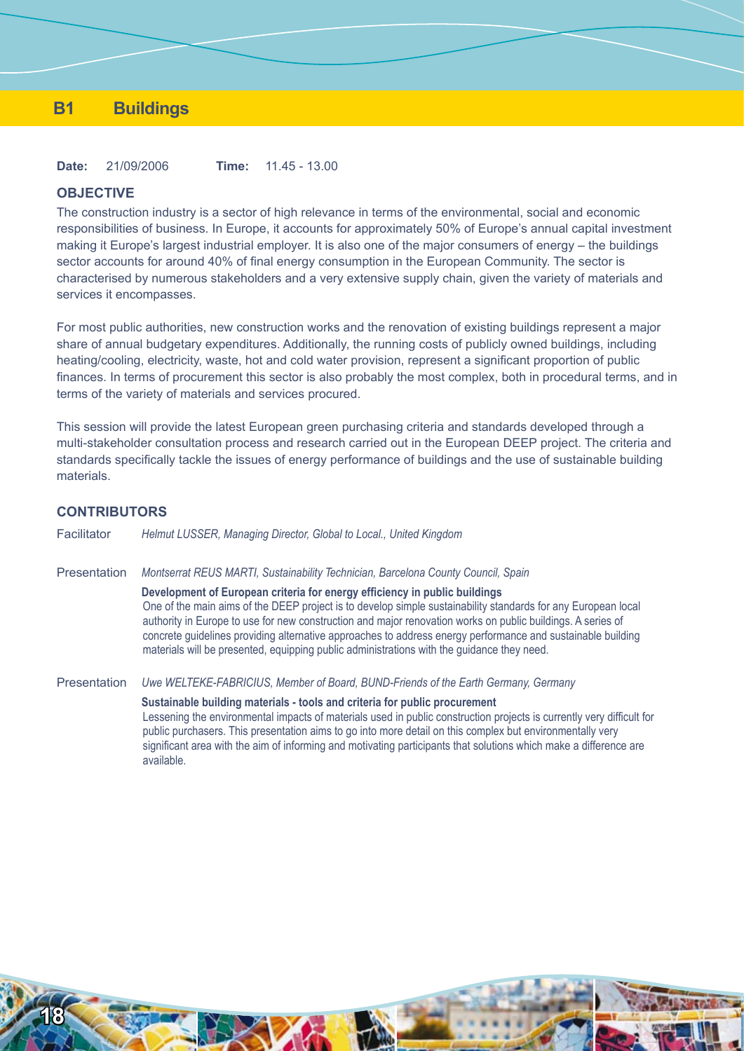## **B1 Buildings**

**Date:** 21/09/2006 **Time:** 11.45 - 13.00

#### **OBJECTIVE**

The construction industry is a sector of high relevance in terms of the environmental, social and economic responsibilities of business. In Europe, it accounts for approximately 50% of Europe's annual capital investment making it Europe's largest industrial employer. It is also one of the major consumers of energy – the buildings sector accounts for around 40% of final energy consumption in the European Community. The sector is characterised by numerous stakeholders and a very extensive supply chain, given the variety of materials and services it encompasses.

For most public authorities, new construction works and the renovation of existing buildings represent a major share of annual budgetary expenditures. Additionally, the running costs of publicly owned buildings, including heating/cooling, electricity, waste, hot and cold water provision, represent a significant proportion of public finances. In terms of procurement this sector is also probably the most complex, both in procedural terms, and in terms of the variety of materials and services procured.

This session will provide the latest European green purchasing criteria and standards developed through a multi-stakeholder consultation process and research carried out in the European DEEP project. The criteria and standards specifically tackle the issues of energy performance of buildings and the use of sustainable building materials.

## **CONTRIBUTORS**

Facilitator *Helmut LUSSER, Managing Director, Global to Local., United Kingdom* Presentation *Montserrat REUS MARTI, Sustainability Technician, Barcelona County Council, Spain* **Development of European criteria for energy efficiency in public buildings** One of the main aims of the DEEP project is to develop simple sustainability standards for any European local authority in Europe to use for new construction and major renovation works on public buildings. A series of concrete guidelines providing alternative approaches to address energy performance and sustainable building materials will be presented, equipping public administrations with the guidance they need. Presentation *Uwe WELTEKE-FABRICIUS, Member of Board, BUND-Friends of the Earth Germany, Germany* **Sustainable building materials - tools and criteria for public procurement**

Lessening the environmental impacts of materials used in public construction projects is currently very difficult for public purchasers. This presentation aims to go into more detail on this complex but environmentally very significant area with the aim of informing and motivating participants that solutions which make a difference are available.

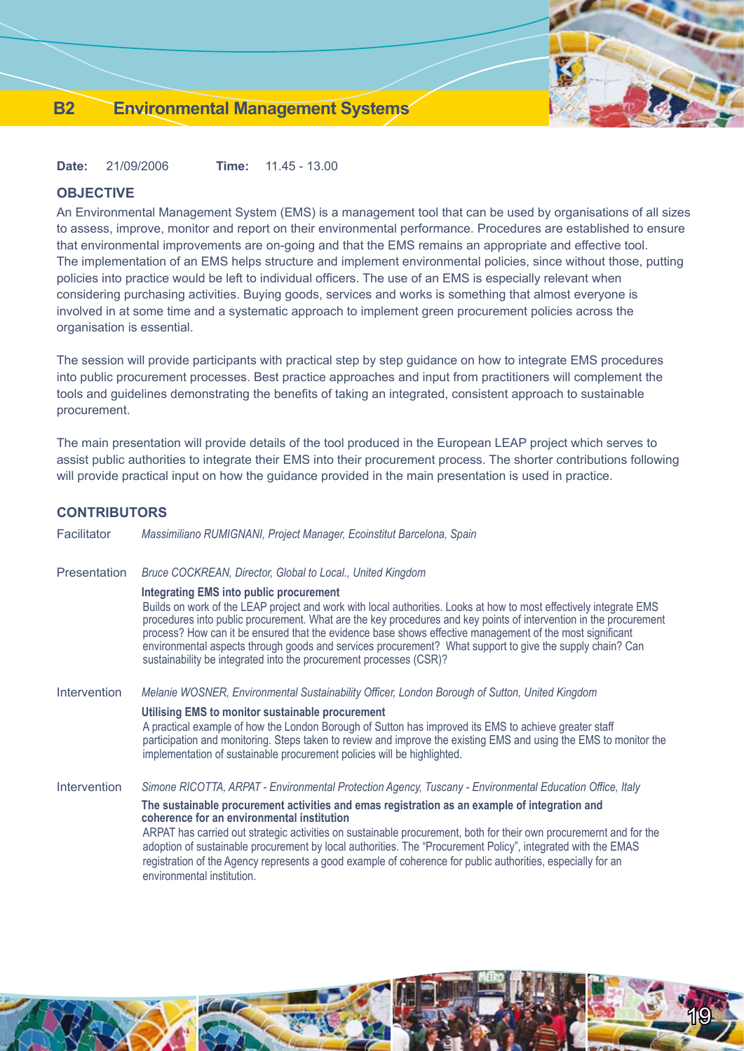**Date:** 21/09/2006 **Time:** 11.45 - 13.00

## **OBJECTIVE**

An Environmental Management System (EMS) is a management tool that can be used by organisations of all sizes to assess, improve, monitor and report on their environmental performance. Procedures are established to ensure that environmental improvements are on-going and that the EMS remains an appropriate and effective tool. The implementation of an EMS helps structure and implement environmental policies, since without those, putting policies into practice would be left to individual officers. The use of an EMS is especially relevant when considering purchasing activities. Buying goods, services and works is something that almost everyone is involved in at some time and a systematic approach to implement green procurement policies across the organisation is essential.

The session will provide participants with practical step by step guidance on how to integrate EMS procedures into public procurement processes. Best practice approaches and input from practitioners will complement the tools and guidelines demonstrating the benefits of taking an integrated, consistent approach to sustainable procurement.

The main presentation will provide details of the tool produced in the European LEAP project which serves to assist public authorities to integrate their EMS into their procurement process. The shorter contributions following will provide practical input on how the guidance provided in the main presentation is used in practice.

## **CONTRIBUTORS**

| Facilitator         | Massimiliano RUMIGNANI, Project Manager, Ecoinstitut Barcelona, Spain                                                                                                                                                                                                                                                                                                                                                                                                                                                                                                                                                                      |
|---------------------|--------------------------------------------------------------------------------------------------------------------------------------------------------------------------------------------------------------------------------------------------------------------------------------------------------------------------------------------------------------------------------------------------------------------------------------------------------------------------------------------------------------------------------------------------------------------------------------------------------------------------------------------|
| <b>Presentation</b> | Bruce COCKREAN, Director, Global to Local., United Kingdom                                                                                                                                                                                                                                                                                                                                                                                                                                                                                                                                                                                 |
|                     | <b>Integrating EMS into public procurement</b><br>Builds on work of the LEAP project and work with local authorities. Looks at how to most effectively integrate EMS<br>procedures into public procurement. What are the key procedures and key points of intervention in the procurement<br>process? How can it be ensured that the evidence base shows effective management of the most significant<br>environmental aspects through goods and services procurement? What support to give the supply chain? Can<br>sustainability be integrated into the procurement processes (CSR)?                                                    |
| Intervention        | Melanie WOSNER, Environmental Sustainability Officer, London Borough of Sutton, United Kingdom                                                                                                                                                                                                                                                                                                                                                                                                                                                                                                                                             |
|                     | Utilising EMS to monitor sustainable procurement<br>A practical example of how the London Borough of Sutton has improved its EMS to achieve greater staff<br>participation and monitoring. Steps taken to review and improve the existing EMS and using the EMS to monitor the<br>implementation of sustainable procurement policies will be highlighted.                                                                                                                                                                                                                                                                                  |
| Intervention        | Simone RICOTTA, ARPAT - Environmental Protection Agency, Tuscany - Environmental Education Office, Italy<br>The sustainable procurement activities and emas registration as an example of integration and<br>coherence for an environmental institution<br>ARPAT has carried out strategic activities on sustainable procurement, both for their own procuremernt and for the<br>adoption of sustainable procurement by local authorities. The "Procurement Policy", integrated with the EMAS<br>registration of the Agency represents a good example of coherence for public authorities, especially for an<br>environmental institution. |
|                     |                                                                                                                                                                                                                                                                                                                                                                                                                                                                                                                                                                                                                                            |

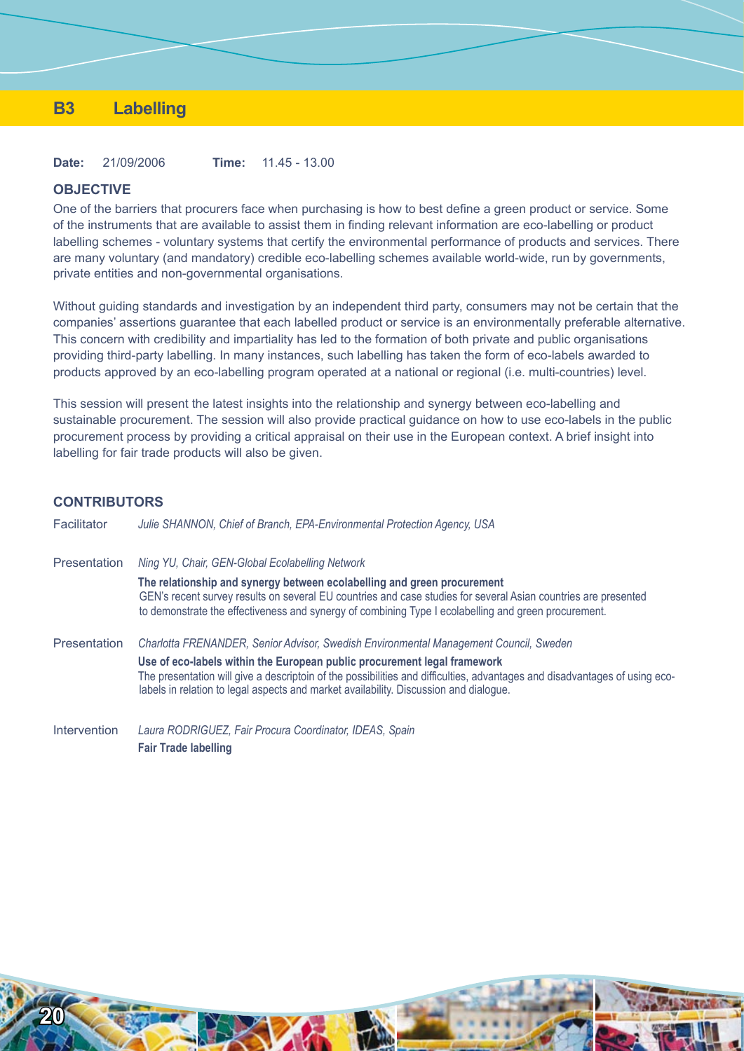## **B3 Labelling**

**Date:** 21/09/2006 **Time:** 11.45 - 13.00

#### **OBJECTIVE**

One of the barriers that procurers face when purchasing is how to best define a green product or service. Some of the instruments that are available to assist them in finding relevant information are eco-labelling or product labelling schemes - voluntary systems that certify the environmental performance of products and services. There are many voluntary (and mandatory) credible eco-labelling schemes available world-wide, run by governments, private entities and non-governmental organisations.

Without guiding standards and investigation by an independent third party, consumers may not be certain that the companies' assertions guarantee that each labelled product or service is an environmentally preferable alternative. This concern with credibility and impartiality has led to the formation of both private and public organisations providing third-party labelling. In many instances, such labelling has taken the form of eco-labels awarded to products approved by an eco-labelling program operated at a national or regional (i.e. multi-countries) level.

This session will present the latest insights into the relationship and synergy between eco-labelling and sustainable procurement. The session will also provide practical guidance on how to use eco-labels in the public procurement process by providing a critical appraisal on their use in the European context. A brief insight into labelling for fair trade products will also be given.

## **CONTRIBUTORS**

Facilitator *Julie SHANNON, Chief of Branch, EPA-Environmental Protection Agency, USA* Presentation *Ning YU, Chair, GEN-Global Ecolabelling Network* **The relationship and synergy between ecolabelling and green procurement** GEN's recent survey results on several EU countries and case studies for several Asian countries are presented to demonstrate the effectiveness and synergy of combining Type I ecolabelling and green procurement. Presentation *Charlotta FRENANDER, Senior Advisor, Swedish Environmental Management Council, Sweden* **Use of eco-labels within the European public procurement legal framework** The presentation will give a descriptoin of the possibilities and difficulties, advantages and disadvantages of using ecolabels in relation to legal aspects and market availability. Discussion and dialogue.

Intervention *Laura RODRIGUEZ, Fair Procura Coordinator, IDEAS, Spain* **Fair Trade labelling**

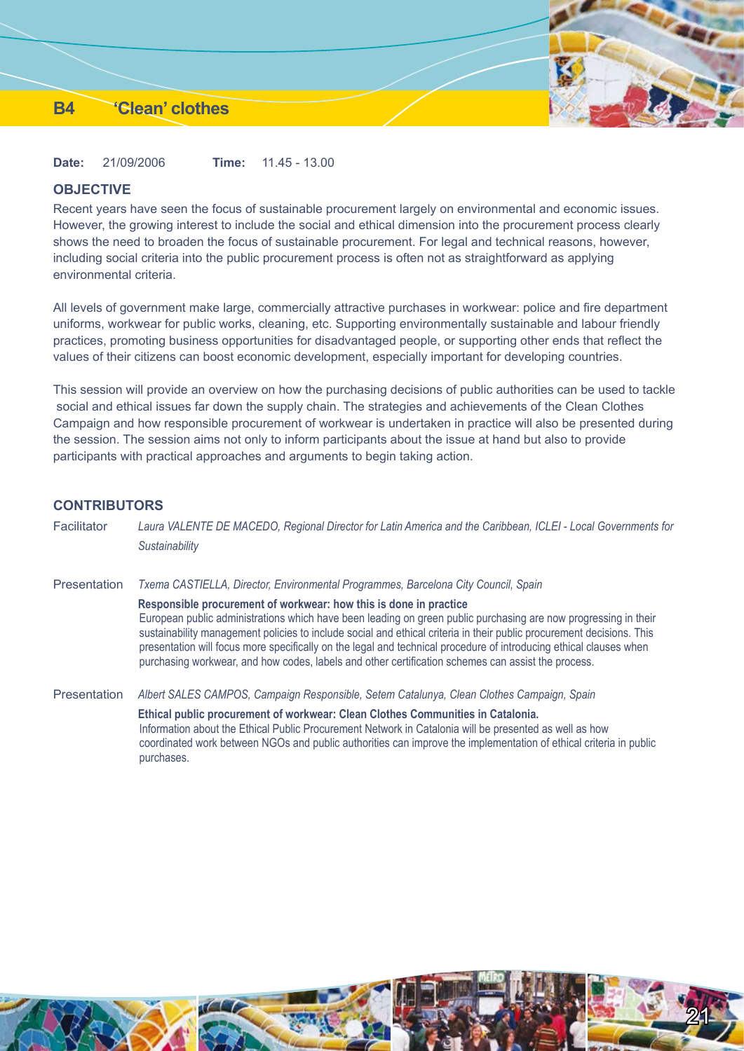## **B4 'Clean' clothes**

**Date:** 21/09/2006 **Time:** 11.45 - 13.00

## **OBJECTIVE**

Recent years have seen the focus of sustainable procurement largely on environmental and economic issues. However, the growing interest to include the social and ethical dimension into the procurement process clearly shows the need to broaden the focus of sustainable procurement. For legal and technical reasons, however, including social criteria into the public procurement process is often not as straightforward as applying environmental criteria.

All levels of government make large, commercially attractive purchases in workwear: police and fire department uniforms, workwear for public works, cleaning, etc. Supporting environmentally sustainable and labour friendly practices, promoting business opportunities for disadvantaged people, or supporting other ends that reflect the values of their citizens can boost economic development, especially important for developing countries.

This session will provide an overview on how the purchasing decisions of public authorities can be used to tackle social and ethical issues far down the supply chain. The strategies and achievements of the Clean Clothes Campaign and how responsible procurement of workwear is undertaken in practice will also be presented during the session. The session aims not only to inform participants about the issue at hand but also to provide participants with practical approaches and arguments to begin taking action.

## **CONTRIBUTORS**

| Facilitator  | Laura VALENTE DE MACEDO, Regional Director for Latin America and the Caribbean, ICLEI - Local Governments for<br>Sustainability                                                                                                                                                                                                                                                                                                                                                                                                           |
|--------------|-------------------------------------------------------------------------------------------------------------------------------------------------------------------------------------------------------------------------------------------------------------------------------------------------------------------------------------------------------------------------------------------------------------------------------------------------------------------------------------------------------------------------------------------|
| Presentation | Txema CASTIELLA, Director, Environmental Programmes, Barcelona City Council, Spain                                                                                                                                                                                                                                                                                                                                                                                                                                                        |
|              | Responsible procurement of workwear: how this is done in practice<br>European public administrations which have been leading on green public purchasing are now progressing in their<br>sustainability management policies to include social and ethical criteria in their public procurement decisions. This<br>presentation will focus more specifically on the legal and technical procedure of introducing ethical clauses when<br>purchasing workwear, and how codes, labels and other certification schemes can assist the process. |
| Presentation | Albert SALES CAMPOS, Campaign Responsible, Setem Catalunya, Clean Clothes Campaign, Spain                                                                                                                                                                                                                                                                                                                                                                                                                                                 |
|              | Ethical public procurement of workwear: Clean Clothes Communities in Catalonia.<br>Information about the Ethical Public Procurement Network in Catalonia will be presented as well as how<br>coordinated work between NGOs and public authorities can improve the implementation of ethical criteria in public<br>purchases.                                                                                                                                                                                                              |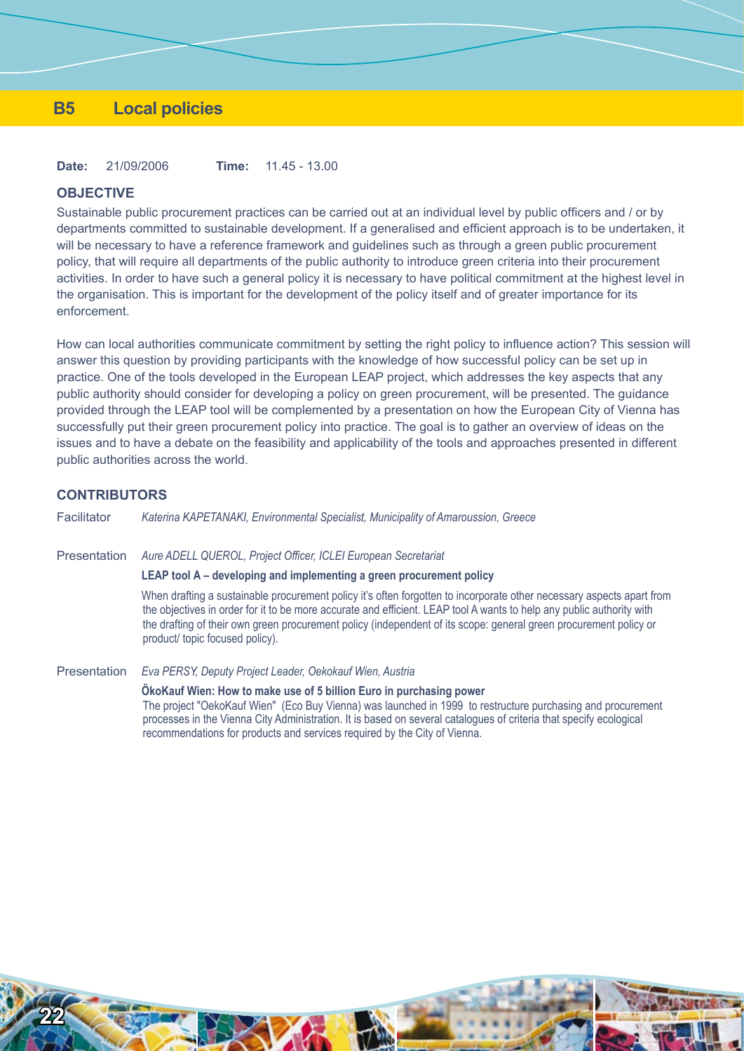## **B5 Local policies**

**Date:** 21/09/2006 **Time:** 11.45 - 13.00

#### **OBJECTIVE**

Sustainable public procurement practices can be carried out at an individual level by public officers and / or by departments committed to sustainable development. If a generalised and efficient approach is to be undertaken, it will be necessary to have a reference framework and guidelines such as through a green public procurement policy, that will require all departments of the public authority to introduce green criteria into their procurement activities. In order to have such a general policy it is necessary to have political commitment at the highest level in the organisation. This is important for the development of the policy itself and of greater importance for its enforcement.

How can local authorities communicate commitment by setting the right policy to influence action? This session will answer this question by providing participants with the knowledge of how successful policy can be set up in practice. One of the tools developed in the European LEAP project, which addresses the key aspects that any public authority should consider for developing a policy on green procurement, will be presented. The guidance provided through the LEAP tool will be complemented by a presentation on how the European City of Vienna has successfully put their green procurement policy into practice. The goal is to gather an overview of ideas on the issues and to have a debate on the feasibility and applicability of the tools and approaches presented in different public authorities across the world.

## **CONTRIBUTORS**

**22**

Facilitator *Katerina KAPETANAKI, Environmental Specialist, Municipality of Amaroussion, Greece*

Presentation *Aure ADELL QUEROL, Project Officer, ICLEI European Secretariat*

## **LEAP tool A – developing and implementing a green procurement policy**

When drafting a sustainable procurement policy it's often forgotten to incorporate other necessary aspects apart from the objectives in order for it to be more accurate and efficient. LEAP tool A wants to help any public authority with the drafting of their own green procurement policy (independent of its scope: general green procurement policy or product/ topic focused policy).

Presentation *Eva PERSY, Deputy Project Leader, Oekokauf Wien, Austria* **ÖkoKauf Wien: How to make use of 5 billion Euro in purchasing power** The project "OekoKauf Wien" (Eco Buy Vienna) was launched in 1999 to restructure purchasing and procurement processes in the Vienna City Administration. It is based on several catalogues of criteria that specify ecological recommendations for products and services required by the City of Vienna.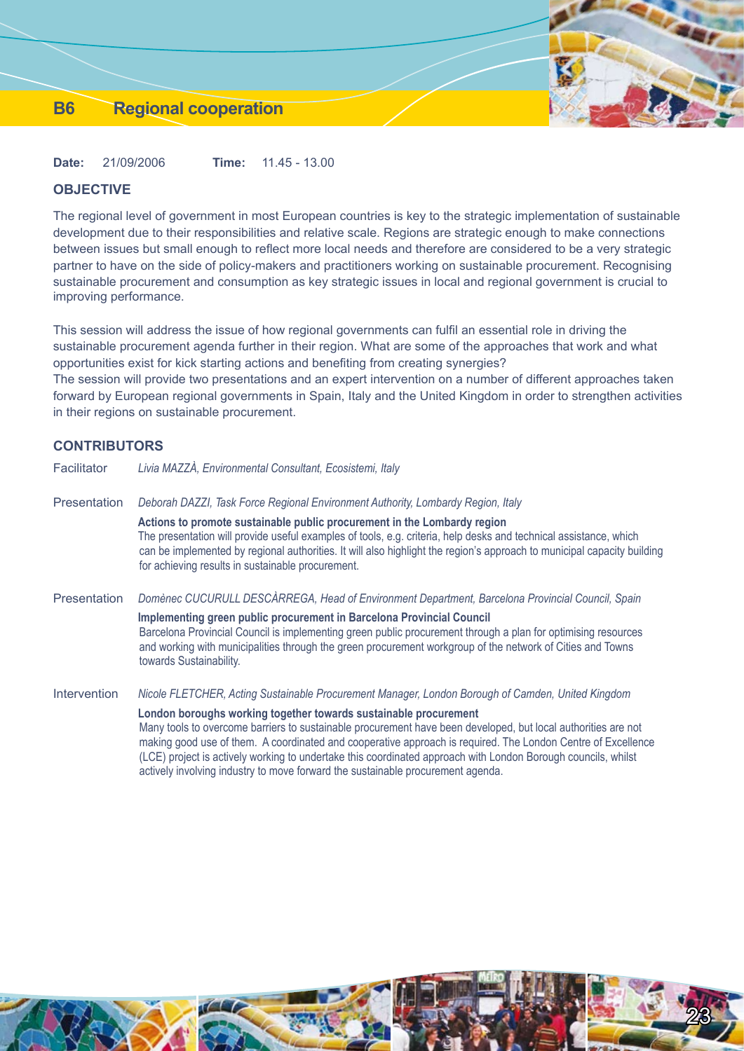## **B6 Regional cooperation**

**Date:** 21/09/2006 **Time:** 11.45 - 13.00

## **OBJECTIVE**

The regional level of government in most European countries is key to the strategic implementation of sustainable development due to their responsibilities and relative scale. Regions are strategic enough to make connections between issues but small enough to reflect more local needs and therefore are considered to be a very strategic partner to have on the side of policy-makers and practitioners working on sustainable procurement. Recognising sustainable procurement and consumption as key strategic issues in local and regional government is crucial to improving performance.

This session will address the issue of how regional governments can fulfil an essential role in driving the sustainable procurement agenda further in their region. What are some of the approaches that work and what opportunities exist for kick starting actions and benefiting from creating synergies?

The session will provide two presentations and an expert intervention on a number of different approaches taken forward by European regional governments in Spain, Italy and the United Kingdom in order to strengthen activities in their regions on sustainable procurement.

## **CONTRIBUTORS**

| Facilitator  | Livia MAZZÀ, Environmental Consultant, Ecosistemi, Italy                                                                                                                                                                                                                                                                                                                                                           |
|--------------|--------------------------------------------------------------------------------------------------------------------------------------------------------------------------------------------------------------------------------------------------------------------------------------------------------------------------------------------------------------------------------------------------------------------|
| Presentation | Deborah DAZZI, Task Force Regional Environment Authority, Lombardy Region, Italy                                                                                                                                                                                                                                                                                                                                   |
|              | Actions to promote sustainable public procurement in the Lombardy region<br>The presentation will provide useful examples of tools, e.g. criteria, help desks and technical assistance, which<br>can be implemented by regional authorities. It will also highlight the region's approach to municipal capacity building<br>for achieving results in sustainable procurement.                                      |
| Presentation | Domènec CUCURULL DESCÀRREGA, Head of Environment Department, Barcelona Provincial Council, Spain                                                                                                                                                                                                                                                                                                                   |
|              | Implementing green public procurement in Barcelona Provincial Council<br>Barcelona Provincial Council is implementing green public procurement through a plan for optimising resources<br>and working with municipalities through the green procurement workgroup of the network of Cities and Towns<br>towards Sustainability.                                                                                    |
| Intervention | Nicole FLETCHER, Acting Sustainable Procurement Manager, London Borough of Camden, United Kingdom                                                                                                                                                                                                                                                                                                                  |
|              | London boroughs working together towards sustainable procurement<br>Many tools to overcome barriers to sustainable procurement have been developed, but local authorities are not<br>making good use of them. A coordinated and cooperative approach is required. The London Centre of Excellence<br>(LCE) project is actively working to undertake this coordinated approach with London Borough councils, whilst |

actively involving industry to move forward the sustainable procurement agenda.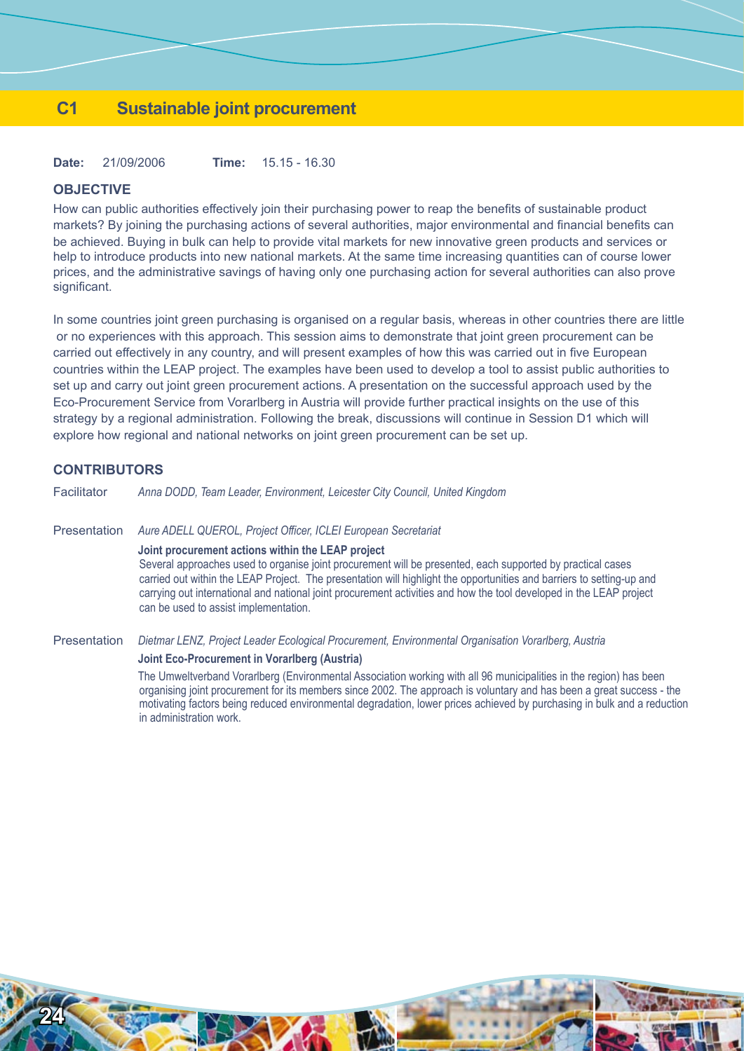## **C1 Sustainable joint procurement**

**Date:** 21/09/2006 **Time:** 15.15 - 16.30

## **OBJECTIVE**

How can public authorities effectively join their purchasing power to reap the benefits of sustainable product markets? By joining the purchasing actions of several authorities, major environmental and financial benefits can be achieved. Buying in bulk can help to provide vital markets for new innovative green products and services or help to introduce products into new national markets. At the same time increasing quantities can of course lower prices, and the administrative savings of having only one purchasing action for several authorities can also prove significant.

In some countries joint green purchasing is organised on a regular basis, whereas in other countries there are little or no experiences with this approach. This session aims to demonstrate that joint green procurement can be carried out effectively in any country, and will present examples of how this was carried out in five European countries within the LEAP project. The examples have been used to develop a tool to assist public authorities to set up and carry out joint green procurement actions. A presentation on the successful approach used by the Eco-Procurement Service from Vorarlberg in Austria will provide further practical insights on the use of this strategy by a regional administration. Following the break, discussions will continue in Session D1 which will explore how regional and national networks on joint green procurement can be set up.

## **CONTRIBUTORS**

**24**

Facilitator *Anna DODD, Team Leader, Environment, Leicester City Council, United Kingdom*

Presentation *Aure ADELL QUEROL, Project Officer, ICLEI European Secretariat*

#### **Joint procurement actions within the LEAP project**

Several approaches used to organise joint procurement will be presented, each supported by practical cases carried out within the LEAP Project. The presentation will highlight the opportunities and barriers to setting-up and carrying out international and national joint procurement activities and how the tool developed in the LEAP project can be used to assist implementation.

Presentation *Dietmar LENZ, Project Leader Ecological Procurement, Environmental Organisation Vorarlberg, Austria*

#### **Joint Eco-Procurement in Vorarlberg (Austria)**

The Umweltverband Vorarlberg (Environmental Association working with all 96 municipalities in the region) has been organising joint procurement for its members since 2002. The approach is voluntary and has been a great success - the motivating factors being reduced environmental degradation, lower prices achieved by purchasing in bulk and a reduction in administration work.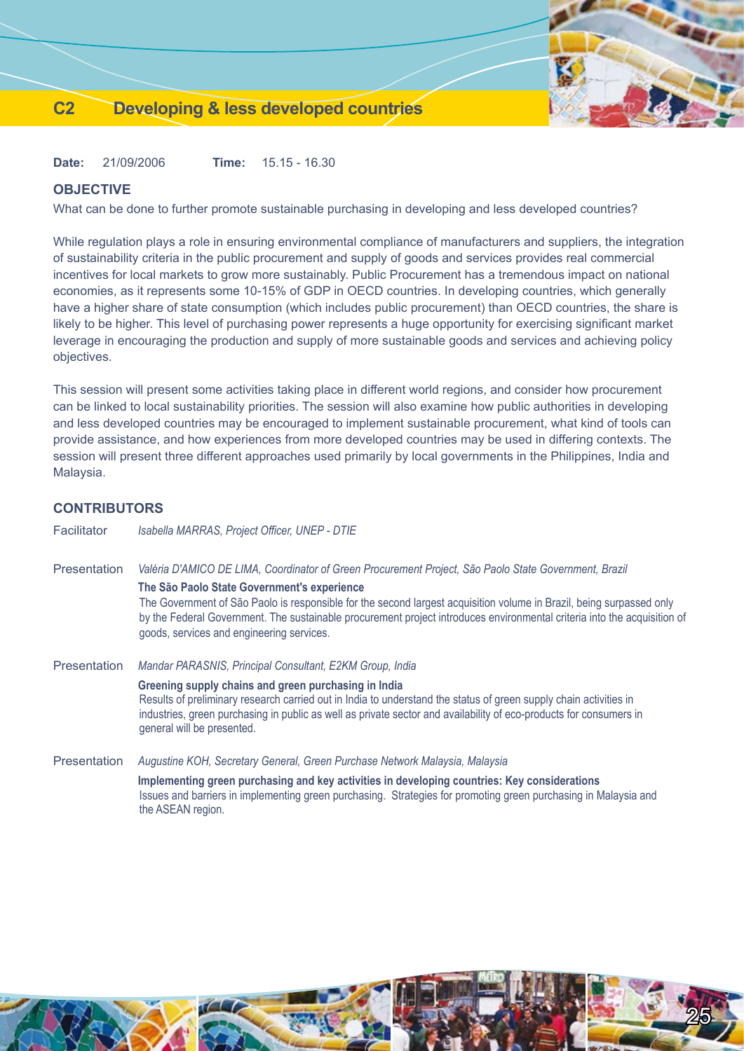## **C2 Developing & less developed countries**

**Date:** 21/09/2006 **Time:** 15.15 - 16.30

## **OBJECTIVE**

What can be done to further promote sustainable purchasing in developing and less developed countries?

While regulation plays a role in ensuring environmental compliance of manufacturers and suppliers, the integration of sustainability criteria in the public procurement and supply of goods and services provides real commercial incentives for local markets to grow more sustainably. Public Procurement has a tremendous impact on national economies, as it represents some 10-15% of GDP in OECD countries. In developing countries, which generally have a higher share of state consumption (which includes public procurement) than OECD countries, the share is likely to be higher. This level of purchasing power represents a huge opportunity for exercising significant market leverage in encouraging the production and supply of more sustainable goods and services and achieving policy objectives.

This session will present some activities taking place in different world regions, and consider how procurement can be linked to local sustainability priorities. The session will also examine how public authorities in developing and less developed countries may be encouraged to implement sustainable procurement, what kind of tools can provide assistance, and how experiences from more developed countries may be used in differing contexts. The session will present three different approaches used primarily by local governments in the Philippines, India and Malaysia.

## **CONTRIBUTORS**

| Facilitator         | Isabella MARRAS, Project Officer, UNEP - DTIE                                                                                                                                                                                                                                                                                 |
|---------------------|-------------------------------------------------------------------------------------------------------------------------------------------------------------------------------------------------------------------------------------------------------------------------------------------------------------------------------|
| <b>Presentation</b> | Valéria D'AMICO DE LIMA, Coordinator of Green Procurement Project, São Paolo State Government, Brazil<br>The São Paolo State Government's experience                                                                                                                                                                          |
|                     | The Government of São Paolo is responsible for the second largest acquisition volume in Brazil, being surpassed only<br>by the Federal Government. The sustainable procurement project introduces environmental criteria into the acquisition of<br>goods, services and engineering services.                                 |
| <b>Presentation</b> | Mandar PARASNIS, Principal Consultant, E2KM Group, India                                                                                                                                                                                                                                                                      |
|                     | Greening supply chains and green purchasing in India<br>Results of preliminary research carried out in India to understand the status of green supply chain activities in<br>industries, green purchasing in public as well as private sector and availability of eco-products for consumers in<br>general will be presented. |
| <b>Presentation</b> | Augustine KOH, Secretary General, Green Purchase Network Malaysia, Malaysia                                                                                                                                                                                                                                                   |
|                     | Implementing green purchasing and key activities in developing countries: Key considerations<br>Issues and barriers in implementing green purchasing. Strategies for promoting green purchasing in Malaysia and<br>the ASEAN region.                                                                                          |

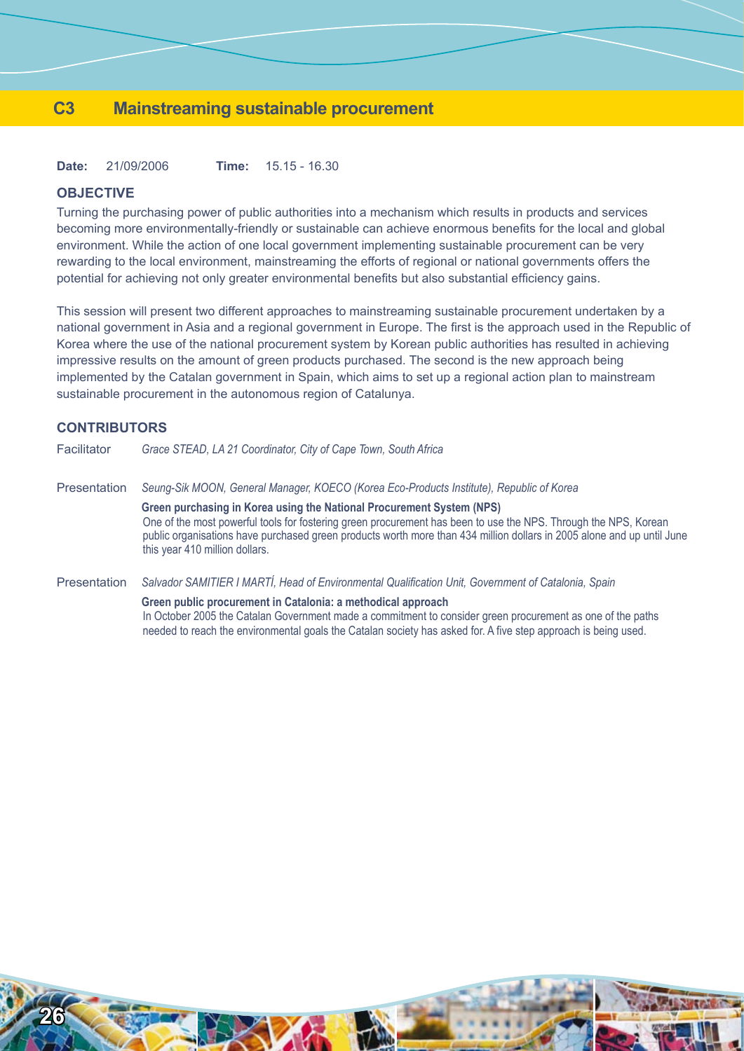## **C3 Mainstreaming sustainable procurement**

**Date:** 21/09/2006 **Time:** 15.15 - 16.30

## **OBJECTIVE**

Turning the purchasing power of public authorities into a mechanism which results in products and services becoming more environmentally-friendly or sustainable can achieve enormous benefits for the local and global environment. While the action of one local government implementing sustainable procurement can be very rewarding to the local environment, mainstreaming the efforts of regional or national governments offers the potential for achieving not only greater environmental benefits but also substantial efficiency gains.

This session will present two different approaches to mainstreaming sustainable procurement undertaken by a national government in Asia and a regional government in Europe. The first is the approach used in the Republic of Korea where the use of the national procurement system by Korean public authorities has resulted in achieving impressive results on the amount of green products purchased. The second is the new approach being implemented by the Catalan government in Spain, which aims to set up a regional action plan to mainstream sustainable procurement in the autonomous region of Catalunya.

## **CONTRIBUTORS**

| Facilitator  | Grace STEAD, LA 21 Coordinator, City of Cape Town, South Africa                                                                                                                                                                                                                                                                                      |
|--------------|------------------------------------------------------------------------------------------------------------------------------------------------------------------------------------------------------------------------------------------------------------------------------------------------------------------------------------------------------|
| Presentation | Seung-Sik MOON, General Manager, KOECO (Korea Eco-Products Institute), Republic of Korea                                                                                                                                                                                                                                                             |
|              | Green purchasing in Korea using the National Procurement System (NPS)<br>One of the most powerful tools for fostering green procurement has been to use the NPS. Through the NPS, Korean<br>public organisations have purchased green products worth more than 434 million dollars in 2005 alone and up until June<br>this year 410 million dollars. |
| Presentation | Salvador SAMITIER I MARTÍ, Head of Environmental Qualification Unit, Government of Catalonia, Spain                                                                                                                                                                                                                                                  |
|              | Green public procurement in Catalonia: a methodical approach<br>In October 2005 the Catalan Government made a commitment to consider green procurement as one of the paths<br>needed to reach the environmental goals the Catalan society has asked for. A five step approach is being used.                                                         |

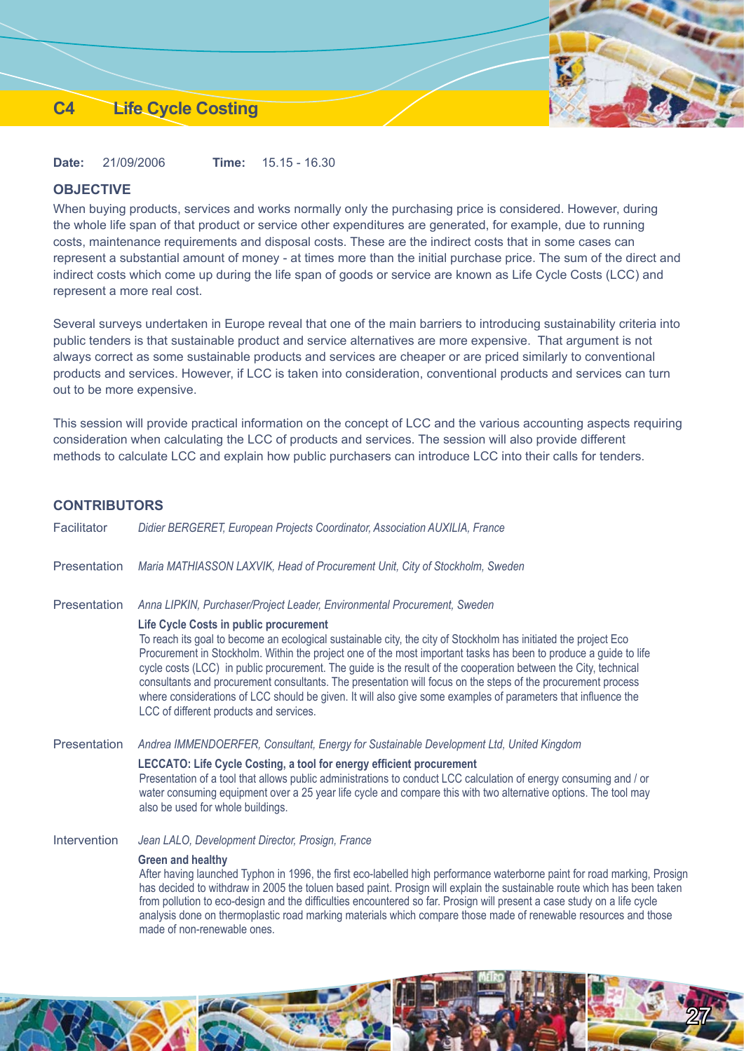## **C4 Life Cycle Costing**

**Date:** 21/09/2006 **Time:** 15.15 - 16.30

## **OBJECTIVE**

When buying products, services and works normally only the purchasing price is considered. However, during the whole life span of that product or service other expenditures are generated, for example, due to running costs, maintenance requirements and disposal costs. These are the indirect costs that in some cases can represent a substantial amount of money - at times more than the initial purchase price. The sum of the direct and indirect costs which come up during the life span of goods or service are known as Life Cycle Costs (LCC) and represent a more real cost.

Several surveys undertaken in Europe reveal that one of the main barriers to introducing sustainability criteria into public tenders is that sustainable product and service alternatives are more expensive. That argument is not always correct as some sustainable products and services are cheaper or are priced similarly to conventional products and services. However, if LCC is taken into consideration, conventional products and services can turn out to be more expensive.

This session will provide practical information on the concept of LCC and the various accounting aspects requiring consideration when calculating the LCC of products and services. The session will also provide different methods to calculate LCC and explain how public purchasers can introduce LCC into their calls for tenders.

## **CONTRIBUTORS**

| Facilitator         | Didier BERGERET, European Projects Coordinator, Association AUXILIA, France                                                                                                                                                                                                                                                                                                                                                                                                                                                                                                                                                                                                  |
|---------------------|------------------------------------------------------------------------------------------------------------------------------------------------------------------------------------------------------------------------------------------------------------------------------------------------------------------------------------------------------------------------------------------------------------------------------------------------------------------------------------------------------------------------------------------------------------------------------------------------------------------------------------------------------------------------------|
| Presentation        | Maria MATHIASSON LAXVIK, Head of Procurement Unit, City of Stockholm, Sweden                                                                                                                                                                                                                                                                                                                                                                                                                                                                                                                                                                                                 |
| Presentation        | Anna LIPKIN, Purchaser/Project Leader, Environmental Procurement, Sweden                                                                                                                                                                                                                                                                                                                                                                                                                                                                                                                                                                                                     |
|                     | Life Cycle Costs in public procurement<br>To reach its goal to become an ecological sustainable city, the city of Stockholm has initiated the project Eco<br>Procurement in Stockholm. Within the project one of the most important tasks has been to produce a guide to life<br>cycle costs (LCC) in public procurement. The guide is the result of the cooperation between the City, technical<br>consultants and procurement consultants. The presentation will focus on the steps of the procurement process<br>where considerations of LCC should be given. It will also give some examples of parameters that influence the<br>LCC of different products and services. |
| Presentation        | Andrea IMMENDOERFER, Consultant, Energy for Sustainable Development Ltd, United Kingdom                                                                                                                                                                                                                                                                                                                                                                                                                                                                                                                                                                                      |
|                     | LECCATO: Life Cycle Costing, a tool for energy efficient procurement<br>Presentation of a tool that allows public administrations to conduct LCC calculation of energy consuming and / or<br>water consuming equipment over a 25 year life cycle and compare this with two alternative options. The tool may<br>also be used for whole buildings.                                                                                                                                                                                                                                                                                                                            |
| <b>Intervention</b> | Jean LALO, Development Director, Prosign, France                                                                                                                                                                                                                                                                                                                                                                                                                                                                                                                                                                                                                             |
|                     | <b>Green and healthy</b><br>After having launched Typhon in 1996, the first eco-labelled high performance waterborne paint for road marking, Prosign<br>has decided to withdraw in 2005 the toluen based paint. Prosign will explain the sustainable route which has been taken<br>from pollution to eco-design and the difficulties encountered so far. Prosign will present a case study on a life cycle<br>analysis done on thermoplastic road marking materials which compare those made of renewable resources and those<br>made of non-renewable ones.                                                                                                                 |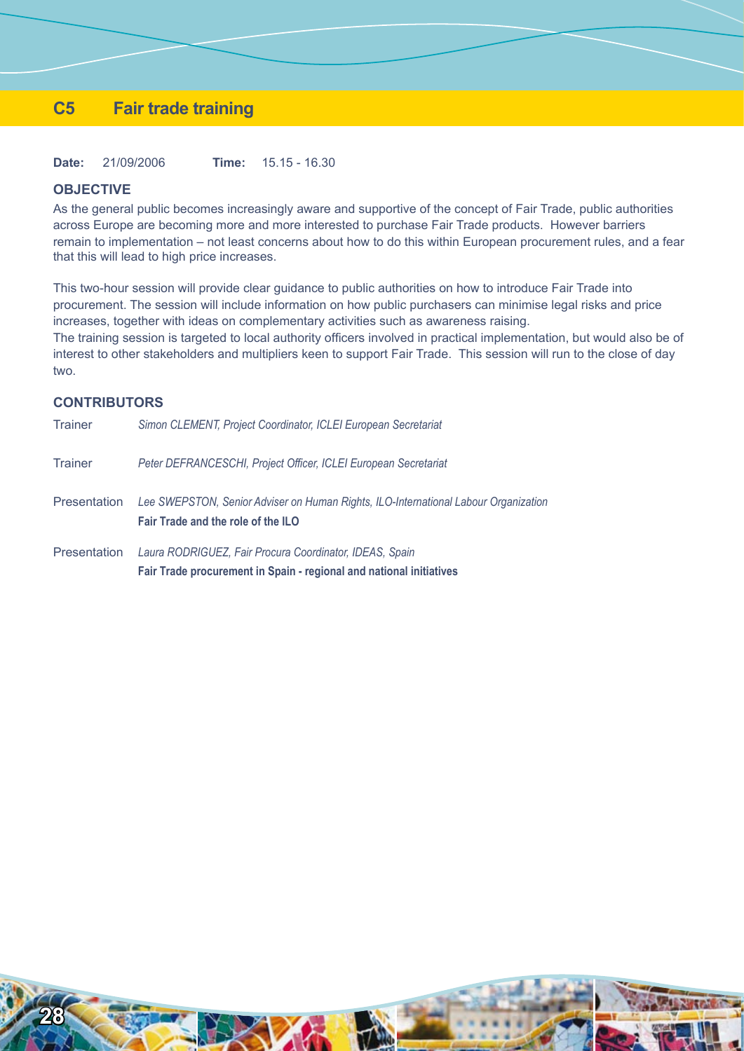## **C5 Fair trade training**

**Date:** 21/09/2006 **Time:** 15.15 - 16.30

## **OBJECTIVE**

As the general public becomes increasingly aware and supportive of the concept of Fair Trade, public authorities across Europe are becoming more and more interested to purchase Fair Trade products. However barriers remain to implementation – not least concerns about how to do this within European procurement rules, and a fear that this will lead to high price increases.

This two-hour session will provide clear guidance to public authorities on how to introduce Fair Trade into procurement. The session will include information on how public purchasers can minimise legal risks and price increases, together with ideas on complementary activities such as awareness raising.

The training session is targeted to local authority officers involved in practical implementation, but would also be of interest to other stakeholders and multipliers keen to support Fair Trade. This session will run to the close of day two.

## **CONTRIBUTORS**

| <b>Trainer</b>      | Simon CLEMENT, Project Coordinator, ICLEI European Secretariat                                                            |
|---------------------|---------------------------------------------------------------------------------------------------------------------------|
| <b>Trainer</b>      | Peter DEFRANCESCHI, Project Officer, ICLEI European Secretariat                                                           |
| <b>Presentation</b> | Lee SWEPSTON, Senior Adviser on Human Rights, ILO-International Labour Organization<br>Fair Trade and the role of the ILO |
| <b>Presentation</b> | Laura RODRIGUEZ, Fair Procura Coordinator, IDEAS, Spain                                                                   |
|                     | Fair Trade procurement in Spain - regional and national initiatives                                                       |

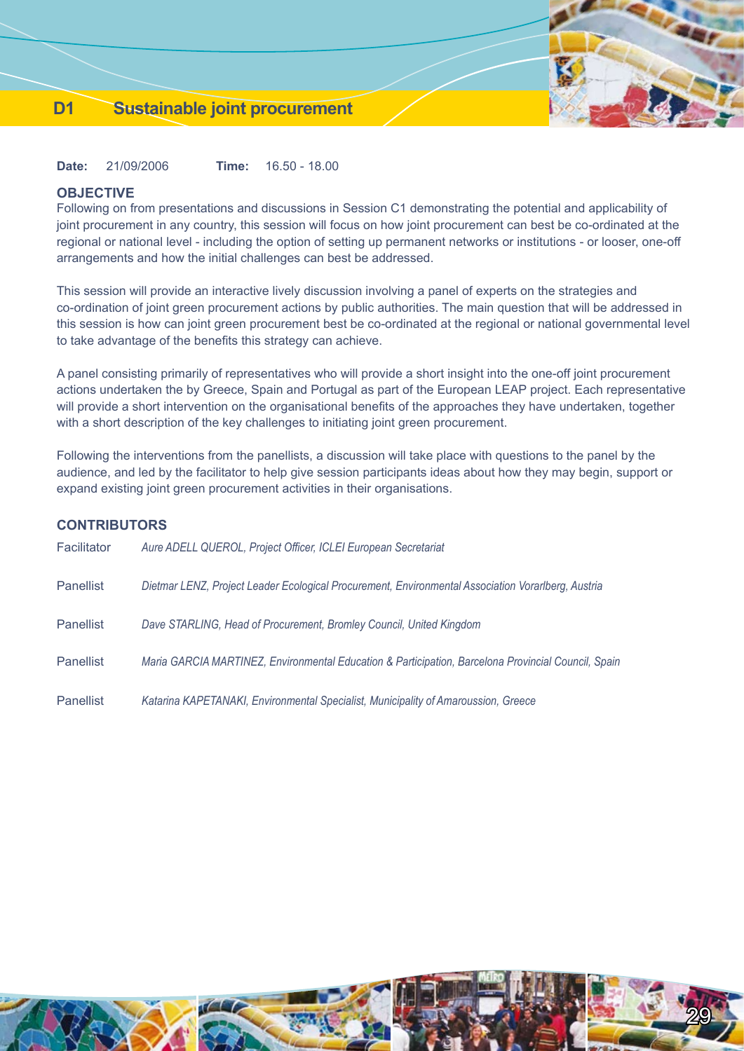## **D1 Sustainable joint procurement**

**Date:** 21/09/2006 **Time:** 16.50 - 18.00

#### **OBJECTIVE**

**CONTRIBUTORS**

Following on from presentations and discussions in Session C1 demonstrating the potential and applicability of joint procurement in any country, this session will focus on how joint procurement can best be co-ordinated at the regional or national level - including the option of setting up permanent networks or institutions - or looser, one-off arrangements and how the initial challenges can best be addressed.

This session will provide an interactive lively discussion involving a panel of experts on the strategies and co-ordination of joint green procurement actions by public authorities. The main question that will be addressed in this session is how can joint green procurement best be co-ordinated at the regional or national governmental level to take advantage of the benefits this strategy can achieve.

A panel consisting primarily of representatives who will provide a short insight into the one-off joint procurement actions undertaken the by Greece, Spain and Portugal as part of the European LEAP project. Each representative will provide a short intervention on the organisational benefits of the approaches they have undertaken, together with a short description of the key challenges to initiating joint green procurement.

Following the interventions from the panellists, a discussion will take place with questions to the panel by the audience, and led by the facilitator to help give session participants ideas about how they may begin, support or expand existing joint green procurement activities in their organisations.

|                  | <b>CONTRIBUTORS</b>                                                                                 |  |  |
|------------------|-----------------------------------------------------------------------------------------------------|--|--|
| Facilitator      | Aure ADELL QUEROL, Project Officer, ICLEI European Secretariat                                      |  |  |
| Panellist        | Dietmar LENZ, Project Leader Ecological Procurement, Environmental Association Vorarlberg, Austria  |  |  |
| <b>Panellist</b> | Dave STARLING, Head of Procurement, Bromley Council, United Kingdom                                 |  |  |
| <b>Panellist</b> | Maria GARCIA MARTINEZ, Environmental Education & Participation, Barcelona Provincial Council, Spain |  |  |
| Panellist        | Katarina KAPETANAKI, Environmental Specialist, Municipality of Amaroussion, Greece                  |  |  |

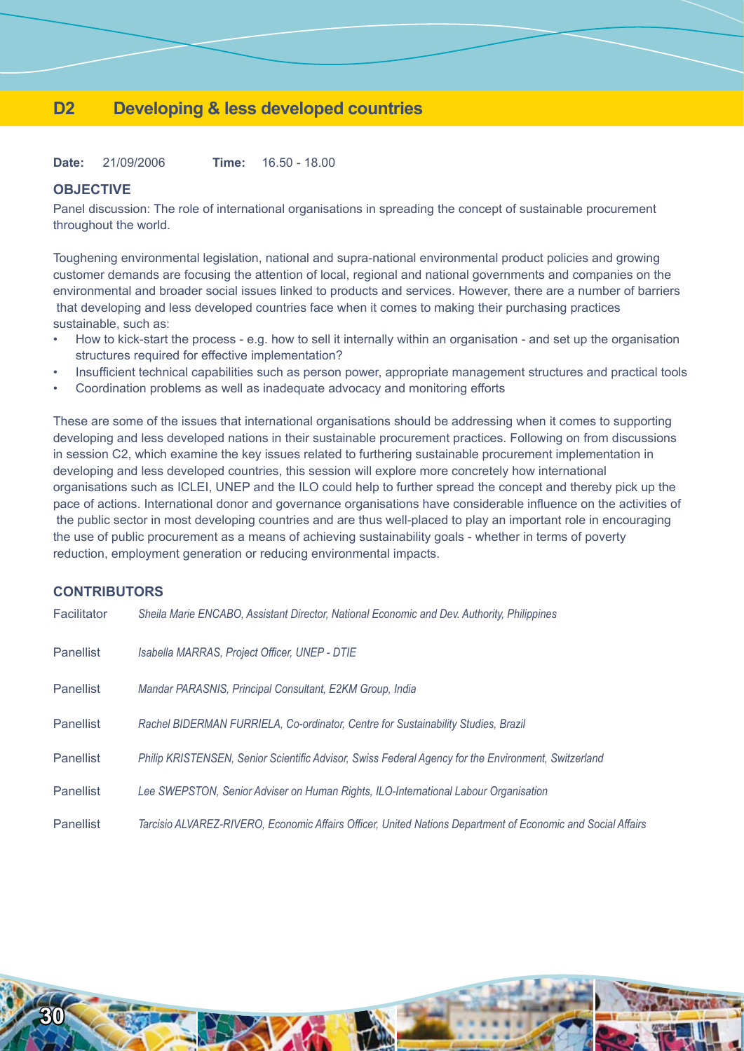## **D2 Developing & less developed countries**

**Date:** 21/09/2006 **Time:** 16.50 - 18.00

## **OBJECTIVE**

Panel discussion: The role of international organisations in spreading the concept of sustainable procurement throughout the world.

Toughening environmental legislation, national and supra-national environmental product policies and growing customer demands are focusing the attention of local, regional and national governments and companies on the environmental and broader social issues linked to products and services. However, there are a number of barriers that developing and less developed countries face when it comes to making their purchasing practices sustainable, such as:

- How to kick-start the process e.g. how to sell it internally within an organisation and set up the organisation structures required for effective implementation? •
- Insufficient technical capabilities such as person power, appropriate management structures and practical tools •
- Coordination problems as well as inadequate advocacy and monitoring efforts •

These are some of the issues that international organisations should be addressing when it comes to supporting developing and less developed nations in their sustainable procurement practices. Following on from discussions in session C2, which examine the key issues related to furthering sustainable procurement implementation in developing and less developed countries, this session will explore more concretely how international organisations such as ICLEI, UNEP and the ILO could help to further spread the concept and thereby pick up the pace of actions. International donor and governance organisations have considerable influence on the activities of the public sector in most developing countries and are thus well-placed to play an important role in encouraging the use of public procurement as a means of achieving sustainability goals - whether in terms of poverty reduction, employment generation or reducing environmental impacts.

## **CONTRIBUTORS**

| Facilitator      | Sheila Marie ENCABO, Assistant Director, National Economic and Dev. Authority, Philippines                  |
|------------------|-------------------------------------------------------------------------------------------------------------|
| <b>Panellist</b> | Isabella MARRAS, Project Officer, UNEP - DTIE                                                               |
| <b>Panellist</b> | Mandar PARASNIS, Principal Consultant, E2KM Group, India                                                    |
| <b>Panellist</b> | Rachel BIDERMAN FURRIELA, Co-ordinator, Centre for Sustainability Studies, Brazil                           |
| <b>Panellist</b> | Philip KRISTENSEN, Senior Scientific Advisor, Swiss Federal Agency for the Environment, Switzerland         |
| <b>Panellist</b> | Lee SWEPSTON, Senior Adviser on Human Rights, ILO-International Labour Organisation                         |
| <b>Panellist</b> | Tarcisio ALVAREZ-RIVERO, Economic Affairs Officer, United Nations Department of Economic and Social Affairs |

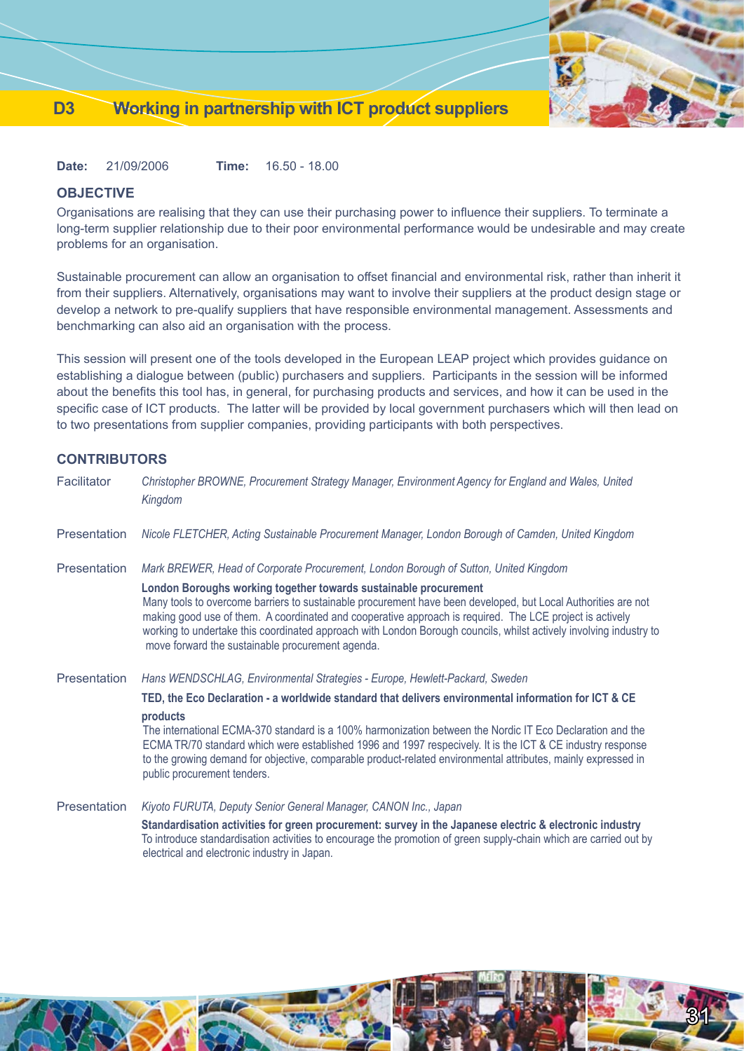

31

**Date:** 21/09/2006 **Time:** 16.50 - 18.00

## **OBJECTIVE**

Organisations are realising that they can use their purchasing power to influence their suppliers. To terminate a long-term supplier relationship due to their poor environmental performance would be undesirable and may create problems for an organisation.

Sustainable procurement can allow an organisation to offset financial and environmental risk, rather than inherit it from their suppliers. Alternatively, organisations may want to involve their suppliers at the product design stage or develop a network to pre-qualify suppliers that have responsible environmental management. Assessments and benchmarking can also aid an organisation with the process.

This session will present one of the tools developed in the European LEAP project which provides guidance on establishing a dialogue between (public) purchasers and suppliers. Participants in the session will be informed about the benefits this tool has, in general, for purchasing products and services, and how it can be used in the specific case of ICT products. The latter will be provided by local government purchasers which will then lead on to two presentations from supplier companies, providing participants with both perspectives.

## **CONTRIBUTORS**

| Facilitator         | Christopher BROWNE, Procurement Strategy Manager, Environment Agency for England and Wales, United<br>Kingdom                                                                                                                                                                                                                                                                                                                                                           |
|---------------------|-------------------------------------------------------------------------------------------------------------------------------------------------------------------------------------------------------------------------------------------------------------------------------------------------------------------------------------------------------------------------------------------------------------------------------------------------------------------------|
| Presentation        | Nicole FLETCHER, Acting Sustainable Procurement Manager, London Borough of Camden, United Kingdom                                                                                                                                                                                                                                                                                                                                                                       |
| Presentation        | Mark BREWER, Head of Corporate Procurement, London Borough of Sutton, United Kingdom                                                                                                                                                                                                                                                                                                                                                                                    |
|                     | London Boroughs working together towards sustainable procurement<br>Many tools to overcome barriers to sustainable procurement have been developed, but Local Authorities are not<br>making good use of them. A coordinated and cooperative approach is required. The LCE project is actively<br>working to undertake this coordinated approach with London Borough councils, whilst actively involving industry to<br>move forward the sustainable procurement agenda. |
| <b>Presentation</b> | Hans WENDSCHLAG, Environmental Strategies - Europe, Hewlett-Packard, Sweden                                                                                                                                                                                                                                                                                                                                                                                             |
|                     | TED, the Eco Declaration - a worldwide standard that delivers environmental information for ICT & CE<br>products                                                                                                                                                                                                                                                                                                                                                        |
|                     | The international ECMA-370 standard is a 100% harmonization between the Nordic IT Eco Declaration and the<br>ECMA TR/70 standard which were established 1996 and 1997 respecively. It is the ICT & CE industry response<br>to the growing demand for objective, comparable product-related environmental attributes, mainly expressed in<br>public procurement tenders.                                                                                                 |
| Presentation        | Kiyoto FURUTA, Deputy Senior General Manager, CANON Inc., Japan                                                                                                                                                                                                                                                                                                                                                                                                         |
|                     | Standardisation activities for green procurement: survey in the Japanese electric & electronic industry<br>To introduce standardisation activities to encourage the promotion of green supply-chain which are carried out by                                                                                                                                                                                                                                            |

electrical and electronic industry in Japan.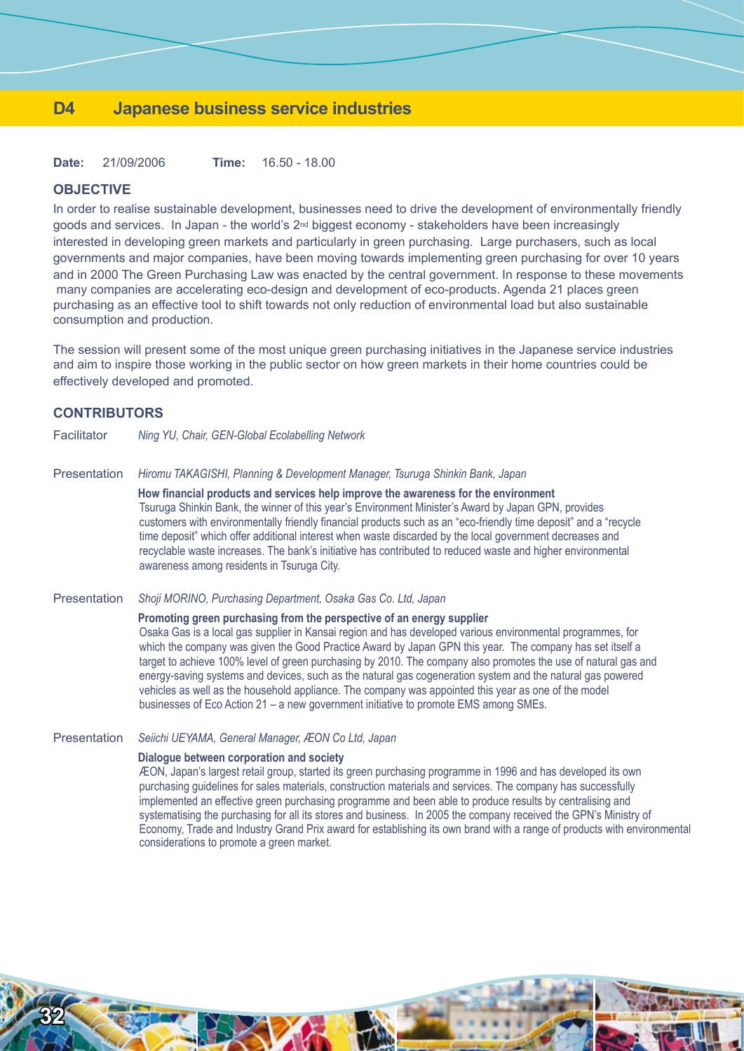## **D4 Japanese business service industries**

**Date:** 21/09/2006 **Time:** 16.50 - 18.00

#### **OBJECTIVE**

In order to realise sustainable development, businesses need to drive the development of environmentally friendly goods and services. In Japan - the world's 2<sup>nd</sup> biggest economy - stakeholders have been increasingly interested in developing green markets and particularly in green purchasing. Large purchasers, such as local governments and major companies, have been moving towards implementing green purchasing for over 10 years and in 2000 The Green Purchasing Law was enacted by the central government. In response to these movements many companies are accelerating eco-design and development of eco-products. Agenda 21 places green purchasing as an effective tool to shift towards not only reduction of environmental load but also sustainable consumption and production.

The session will present some of the most unique green purchasing initiatives in the Japanese service industries and aim to inspire those working in the public sector on how green markets in their home countries could be effectively developed and promoted.

#### **CONTRIBUTORS**

**32**

Facilitator *Ning YU, Chair, GEN-Global Ecolabelling Network*

Presentation *Hiromu TAKAGISHI, Planning & Development Manager, Tsuruga Shinkin Bank, Japan*

**How financial products and services help improve the awareness for the environment** Tsuruga Shinkin Bank, the winner of this year's Environment Minister's Award by Japan GPN, provides customers with environmentally friendly financial products such as an "eco-friendly time deposit" and a "recycle time deposit" which offer additional interest when waste discarded by the local government decreases and recyclable waste increases. The bank's initiative has contributed to reduced waste and higher environmental awareness among residents in Tsuruga City.

Presentation *Shoji MORINO, Purchasing Department, Osaka Gas Co. Ltd, Japan*

#### **Promoting green purchasing from the perspective of an energy supplier**

Osaka Gas is a local gas supplier in Kansai region and has developed various environmental programmes, for which the company was given the Good Practice Award by Japan GPN this year. The company has set itself a target to achieve 100% level of green purchasing by 2010. The company also promotes the use of natural gas and energy-saving systems and devices, such as the natural gas cogeneration system and the natural gas powered vehicles as well as the household appliance. The company was appointed this year as one of the model businesses of Eco Action 21 – a new government initiative to promote EMS among SMEs.

#### Presentation *Seiichi UEYAMA, General Manager, ÆON Co Ltd, Japan*

#### **Dialogue between corporation and society**

ÆON, Japan's largest retail group, started its green purchasing programme in 1996 and has developed its own purchasing guidelines for sales materials, construction materials and services. The company has successfully implemented an effective green purchasing programme and been able to produce results by centralising and systematising the purchasing for all its stores and business. In 2005 the company received the GPN's Ministry of Economy, Trade and Industry Grand Prix award for establishing its own brand with a range of products with environmental considerations to promote a green market.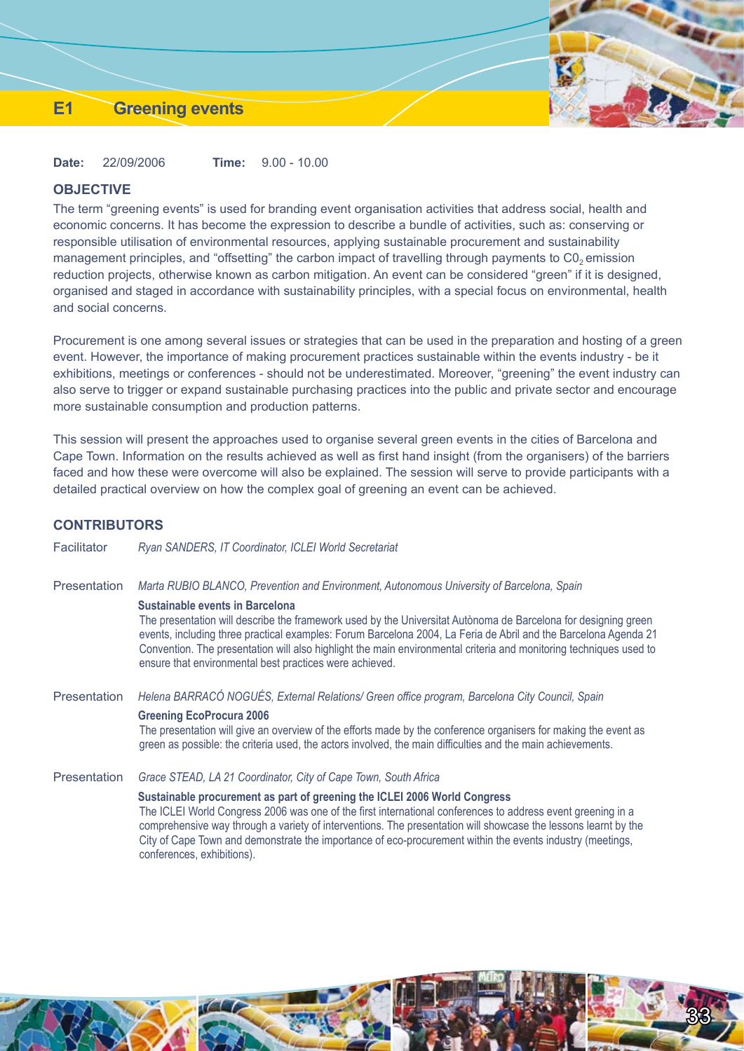## **E1 Greening events**

**Date:** 22/09/2006 **Time:** 9.00 - 10.00

#### **OBJECTIVE**

The term "greening events" is used for branding event organisation activities that address social, health and economic concerns. It has become the expression to describe a bundle of activities, such as: conserving or responsible utilisation of environmental resources, applying sustainable procurement and sustainability management principles, and "offsetting" the carbon impact of travelling through payments to C0<sub>2</sub> emission reduction projects, otherwise known as carbon mitigation. An event can be considered "green" if it is designed, organised and staged in accordance with sustainability principles, with a special focus on environmental, health and social concerns.

Procurement is one among several issues or strategies that can be used in the preparation and hosting of a green event. However, the importance of making procurement practices sustainable within the events industry - be it exhibitions, meetings or conferences - should not be underestimated. Moreover, "greening" the event industry can also serve to trigger or expand sustainable purchasing practices into the public and private sector and encourage more sustainable consumption and production patterns.

This session will present the approaches used to organise several green events in the cities of Barcelona and Cape Town. Information on the results achieved as well as first hand insight (from the organisers) of the barriers faced and how these were overcome will also be explained. The session will serve to provide participants with a detailed practical overview on how the complex goal of greening an event can be achieved.

## **CONTRIBUTORS**

Facilitator *Ryan SANDERS, IT Coordinator, ICLEI World Secretariat*

Presentation *Marta RUBIO BLANCO, Prevention and Environment, Autonomous University of Barcelona, Spain*

#### **Sustainable events in Barcelona**

The presentation will describe the framework used by the Universitat Autònoma de Barcelona for designing green events, including three practical examples: Forum Barcelona 2004, La Feria de Abril and the Barcelona Agenda 21 Convention. The presentation will also highlight the main environmental criteria and monitoring techniques used to ensure that environmental best practices were achieved.

Presentation *Helena BARRACÓ NOGUÉS, External Relations/ Green office program, Barcelona City Council, Spain*

#### **Greening EcoProcura 2006**

The presentation will give an overview of the efforts made by the conference organisers for making the event as green as possible: the criteria used, the actors involved, the main difficulties and the main achievements.

Presentation *Grace STEAD, LA 21 Coordinator, City of Cape Town, South Africa*

#### **Sustainable procurement as part of greening the ICLEI 2006 World Congress**

The ICLEI World Congress 2006 was one of the first international conferences to address event greening in a comprehensive way through a variety of interventions. The presentation will showcase the lessons learnt by the City of Cape Town and demonstrate the importance of eco-procurement within the events industry (meetings, conferences, exhibitions).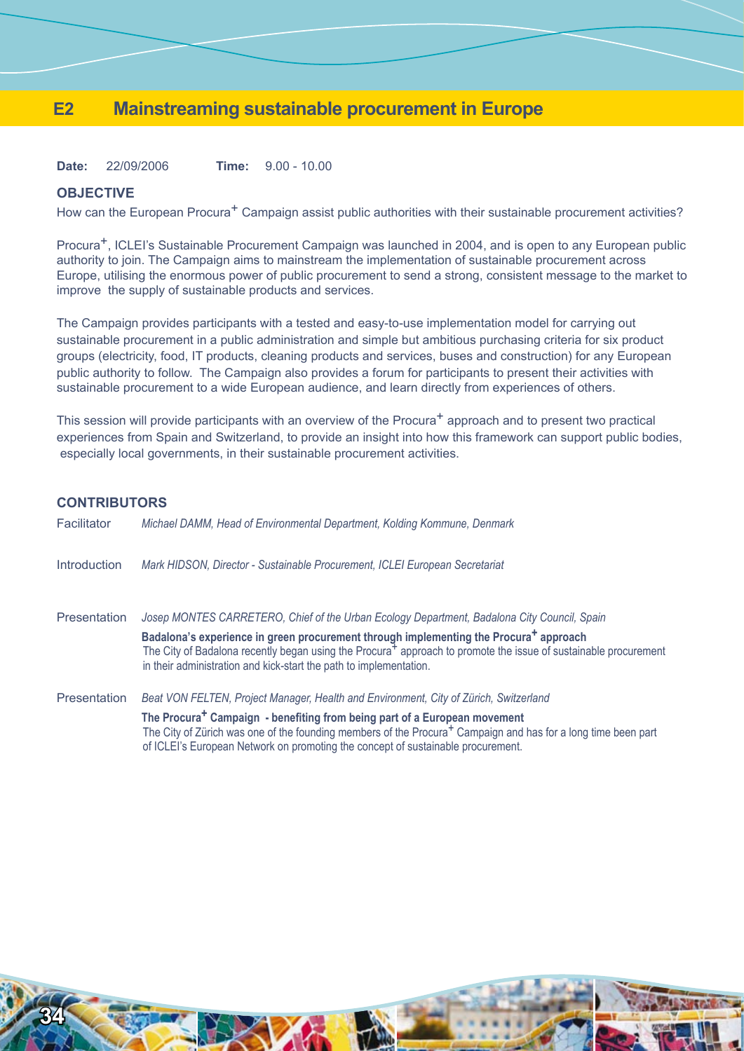## **E2 Mainstreaming sustainable procurement in Europe**

**Date:** 22/09/2006 **Time:** 9.00 - 10.00

#### **OBJECTIVE**

How can the European Procura<sup>+</sup> Campaign assist public authorities with their sustainable procurement activities?

Procura+, ICLEI's Sustainable Procurement Campaign was launched in 2004, and is open to any European public authority to join. The Campaign aims to mainstream the implementation of sustainable procurement across Europe, utilising the enormous power of public procurement to send a strong, consistent message to the market to improve the supply of sustainable products and services.

The Campaign provides participants with a tested and easy-to-use implementation model for carrying out sustainable procurement in a public administration and simple but ambitious purchasing criteria for six product groups (electricity, food, IT products, cleaning products and services, buses and construction) for any European public authority to follow. The Campaign also provides a forum for participants to present their activities with sustainable procurement to a wide European audience, and learn directly from experiences of others.

This session will provide participants with an overview of the Procura<sup>+</sup> approach and to present two practical experiences from Spain and Switzerland, to provide an insight into how this framework can support public bodies, especially local governments, in their sustainable procurement activities.

## **CONTRIBUTORS**

| Facilitator  | Michael DAMM, Head of Environmental Department, Kolding Kommune, Denmark                                                                                                                                                                                                                                                                                                                              |
|--------------|-------------------------------------------------------------------------------------------------------------------------------------------------------------------------------------------------------------------------------------------------------------------------------------------------------------------------------------------------------------------------------------------------------|
| Introduction | Mark HIDSON, Director - Sustainable Procurement, ICLEI European Secretariat                                                                                                                                                                                                                                                                                                                           |
| Presentation | Josep MONTES CARRETERO, Chief of the Urban Ecology Department, Badalona City Council, Spain<br>Badalona's experience in green procurement through implementing the Procura <sup>+</sup> approach<br>The City of Badalona recently began using the Procura <sup>+</sup> approach to promote the issue of sustainable procurement<br>in their administration and kick-start the path to implementation. |
| Presentation | Beat VON FELTEN, Project Manager, Health and Environment, City of Zürich, Switzerland<br>The Procura <sup>+</sup> Campaign - benefiting from being part of a European movement<br>The City of Zürich was one of the founding members of the Procura <sup>+</sup> Campaign and has for a long time been part<br>of ICLEI's European Network on promoting the concept of sustainable procurement.       |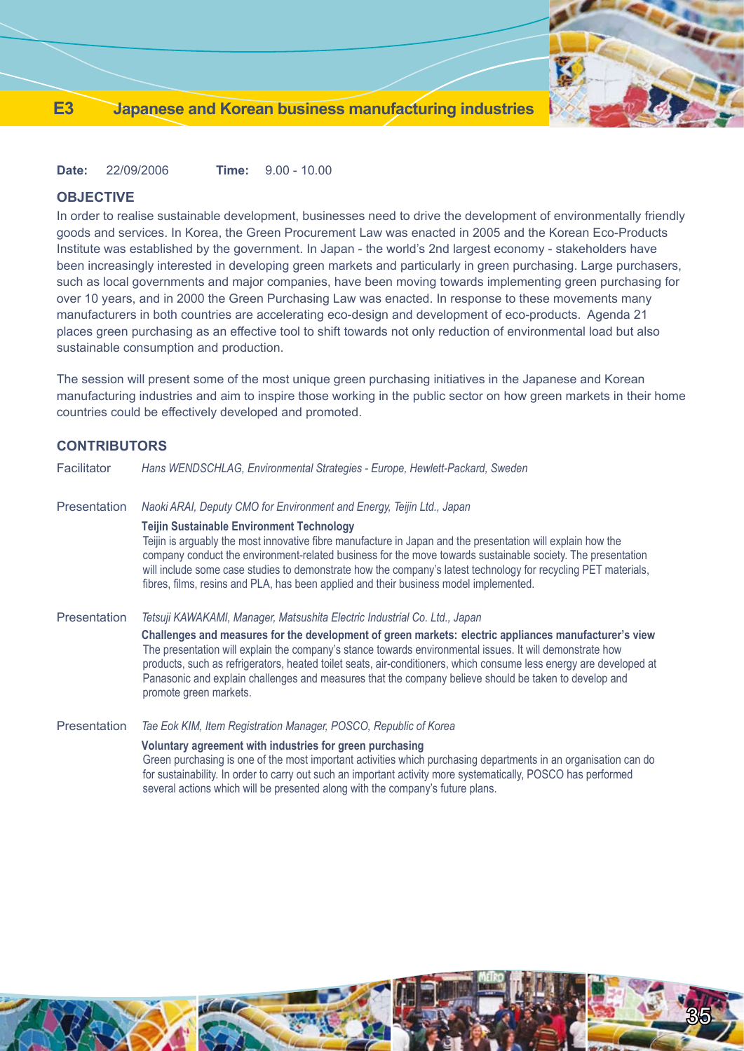

35

**Date:** 22/09/2006 **Time:** 9.00 - 10.00

## **OBJECTIVE**

In order to realise sustainable development, businesses need to drive the development of environmentally friendly goods and services. In Korea, the Green Procurement Law was enacted in 2005 and the Korean Eco-Products Institute was established by the government. In Japan - the world's 2nd largest economy - stakeholders have been increasingly interested in developing green markets and particularly in green purchasing. Large purchasers, such as local governments and major companies, have been moving towards implementing green purchasing for over 10 years, and in 2000 the Green Purchasing Law was enacted. In response to these movements many manufacturers in both countries are accelerating eco-design and development of eco-products. Agenda 21 places green purchasing as an effective tool to shift towards not only reduction of environmental load but also sustainable consumption and production.

The session will present some of the most unique green purchasing initiatives in the Japanese and Korean manufacturing industries and aim to inspire those working in the public sector on how green markets in their home countries could be effectively developed and promoted.

## **CONTRIBUTORS**

| Facilitator         | Hans WENDSCHLAG, Environmental Strategies - Europe, Hewlett-Packard, Sweden                                                                                                                                                                                                                                                                                                                                                                                                               |
|---------------------|-------------------------------------------------------------------------------------------------------------------------------------------------------------------------------------------------------------------------------------------------------------------------------------------------------------------------------------------------------------------------------------------------------------------------------------------------------------------------------------------|
| <b>Presentation</b> | Naoki ARAI, Deputy CMO for Environment and Energy, Teijin Ltd., Japan                                                                                                                                                                                                                                                                                                                                                                                                                     |
|                     | <b>Teijin Sustainable Environment Technology</b><br>Teijin is arguably the most innovative fibre manufacture in Japan and the presentation will explain how the<br>company conduct the environment-related business for the move towards sustainable society. The presentation<br>will include some case studies to demonstrate how the company's latest technology for recycling PET materials,<br>fibres, films, resins and PLA, has been applied and their business model implemented. |
| <b>Presentation</b> | Tetsuji KAWAKAMI, Manager, Matsushita Electric Industrial Co. Ltd., Japan                                                                                                                                                                                                                                                                                                                                                                                                                 |
|                     | Challenges and measures for the development of green markets: electric appliances manufacturer's view<br>The presentation will explain the company's stance towards environmental issues. It will demonstrate how<br>products, such as refrigerators, heated toilet seats, air-conditioners, which consume less energy are developed at<br>Panasonic and explain challenges and measures that the company believe should be taken to develop and<br>promote green markets.                |
| <b>Presentation</b> | Tae Eok KIM, Item Registration Manager, POSCO, Republic of Korea                                                                                                                                                                                                                                                                                                                                                                                                                          |
|                     | Voluntary agreement with industries for green purchasing<br>Green purchasing is one of the most important activities which purchasing departments in an organisation can do<br>for sustainability. In order to carry out such an important activity more systematically, POSCO has performed<br>several actions which will be presented along with the company's future plans.                                                                                                            |